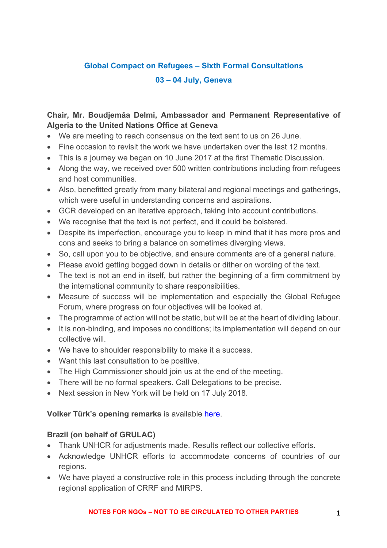# **Global Compact on Refugees – Sixth Formal Consultations 03 – 04 July, Geneva**

# **Chair, Mr. Boudjemâa Delmi, Ambassador and Permanent Representative of Algeria to the United Nations Office at Geneva**

- We are meeting to reach consensus on the text sent to us on 26 June.
- Fine occasion to revisit the work we have undertaken over the last 12 months.
- This is a journey we began on 10 June 2017 at the first Thematic Discussion.
- Along the way, we received over 500 written contributions including from refugees and host communities.
- Also, benefitted greatly from many bilateral and regional meetings and gatherings, which were useful in understanding concerns and aspirations.
- GCR developed on an iterative approach, taking into account contributions.
- We recognise that the text is not perfect, and it could be bolstered.
- Despite its imperfection, encourage you to keep in mind that it has more pros and cons and seeks to bring a balance on sometimes diverging views.
- So, call upon you to be objective, and ensure comments are of a general nature.
- Please avoid getting bogged down in details or dither on wording of the text.
- The text is not an end in itself, but rather the beginning of a firm commitment by the international community to share responsibilities.
- Measure of success will be implementation and especially the Global Refugee Forum, where progress on four objectives will be looked at.
- The programme of action will not be static, but will be at the heart of dividing labour.
- It is non-binding, and imposes no conditions; its implementation will depend on our collective will.
- We have to shoulder responsibility to make it a success.
- Want this last consultation to be positive.
- The High Commissioner should join us at the end of the meeting.
- There will be no formal speakers. Call Delegations to be precise.
- Next session in New York will be held on 17 July 2018.

### **Volker Türk's opening remarks** is available here.

# **Brazil (on behalf of GRULAC)**

- Thank UNHCR for adjustments made. Results reflect our collective efforts.
- Acknowledge UNHCR efforts to accommodate concerns of countries of our regions.
- We have played a constructive role in this process including through the concrete regional application of CRRF and MIRPS.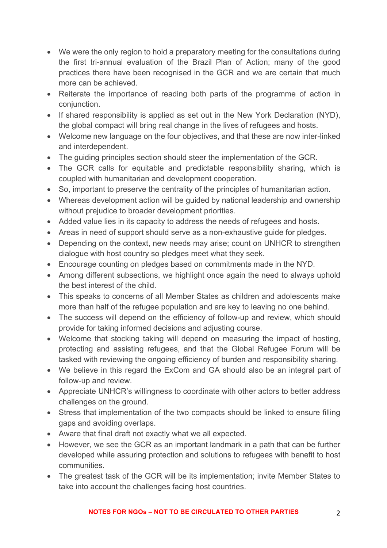- We were the only region to hold a preparatory meeting for the consultations during the first tri-annual evaluation of the Brazil Plan of Action; many of the good practices there have been recognised in the GCR and we are certain that much more can be achieved.
- Reiterate the importance of reading both parts of the programme of action in conjunction.
- If shared responsibility is applied as set out in the New York Declaration (NYD), the global compact will bring real change in the lives of refugees and hosts.
- Welcome new language on the four objectives, and that these are now inter-linked and interdependent.
- The guiding principles section should steer the implementation of the GCR.
- The GCR calls for equitable and predictable responsibility sharing, which is coupled with humanitarian and development cooperation.
- So, important to preserve the centrality of the principles of humanitarian action.
- Whereas development action will be guided by national leadership and ownership without prejudice to broader development priorities.
- Added value lies in its capacity to address the needs of refugees and hosts.
- Areas in need of support should serve as a non-exhaustive guide for pledges.
- Depending on the context, new needs may arise; count on UNHCR to strengthen dialogue with host country so pledges meet what they seek.
- Encourage counting on pledges based on commitments made in the NYD.
- Among different subsections, we highlight once again the need to always uphold the best interest of the child.
- This speaks to concerns of all Member States as children and adolescents make more than half of the refugee population and are key to leaving no one behind.
- The success will depend on the efficiency of follow-up and review, which should provide for taking informed decisions and adjusting course.
- Welcome that stocking taking will depend on measuring the impact of hosting, protecting and assisting refugees, and that the Global Refugee Forum will be tasked with reviewing the ongoing efficiency of burden and responsibility sharing.
- We believe in this regard the ExCom and GA should also be an integral part of follow-up and review.
- Appreciate UNHCR's willingness to coordinate with other actors to better address challenges on the ground.
- Stress that implementation of the two compacts should be linked to ensure filling gaps and avoiding overlaps.
- Aware that final draft not exactly what we all expected.
- However, we see the GCR as an important landmark in a path that can be further developed while assuring protection and solutions to refugees with benefit to host communities.
- The greatest task of the GCR will be its implementation; invite Member States to take into account the challenges facing host countries.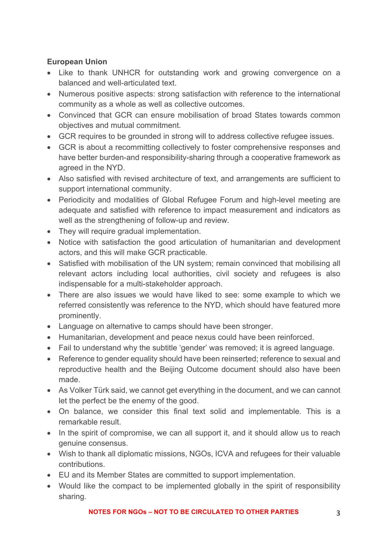# **European Union**

- Like to thank UNHCR for outstanding work and growing convergence on a balanced and well-articulated text.
- Numerous positive aspects: strong satisfaction with reference to the international community as a whole as well as collective outcomes.
- Convinced that GCR can ensure mobilisation of broad States towards common objectives and mutual commitment.
- GCR requires to be grounded in strong will to address collective refugee issues.
- GCR is about a recommitting collectively to foster comprehensive responses and have better burden-and responsibility-sharing through a cooperative framework as agreed in the NYD.
- Also satisfied with revised architecture of text, and arrangements are sufficient to support international community.
- Periodicity and modalities of Global Refugee Forum and high-level meeting are adequate and satisfied with reference to impact measurement and indicators as well as the strengthening of follow-up and review.
- They will require gradual implementation.
- Notice with satisfaction the good articulation of humanitarian and development actors, and this will make GCR practicable.
- Satisfied with mobilisation of the UN system; remain convinced that mobilising all relevant actors including local authorities, civil society and refugees is also indispensable for a multi-stakeholder approach.
- There are also issues we would have liked to see: some example to which we referred consistently was reference to the NYD, which should have featured more prominently.
- Language on alternative to camps should have been stronger.
- Humanitarian, development and peace nexus could have been reinforced.
- Fail to understand why the subtitle 'gender' was removed; it is agreed language.
- Reference to gender equality should have been reinserted; reference to sexual and reproductive health and the Beijing Outcome document should also have been made.
- As Volker Türk said, we cannot get everything in the document, and we can cannot let the perfect be the enemy of the good.
- On balance, we consider this final text solid and implementable. This is a remarkable result.
- In the spirit of compromise, we can all support it, and it should allow us to reach genuine consensus.
- Wish to thank all diplomatic missions, NGOs, ICVA and refugees for their valuable contributions.
- EU and its Member States are committed to support implementation.
- Would like the compact to be implemented globally in the spirit of responsibility sharing.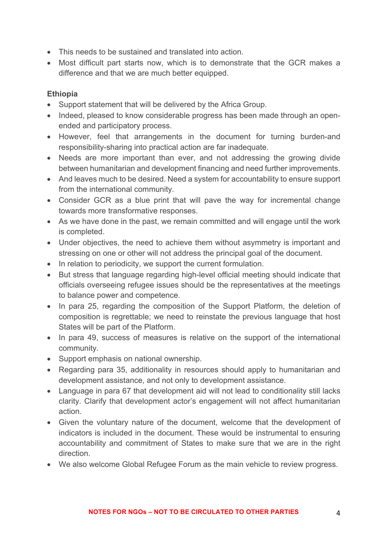- This needs to be sustained and translated into action.
- Most difficult part starts now, which is to demonstrate that the GCR makes a difference and that we are much better equipped.

### **Ethiopia**

- Support statement that will be delivered by the Africa Group.
- Indeed, pleased to know considerable progress has been made through an openended and participatory process.
- However, feel that arrangements in the document for turning burden-and responsibility-sharing into practical action are far inadequate.
- Needs are more important than ever, and not addressing the growing divide between humanitarian and development financing and need further improvements.
- And leaves much to be desired. Need a system for accountability to ensure support from the international community.
- Consider GCR as a blue print that will pave the way for incremental change towards more transformative responses.
- As we have done in the past, we remain committed and will engage until the work is completed.
- Under objectives, the need to achieve them without asymmetry is important and stressing on one or other will not address the principal goal of the document.
- In relation to periodicity, we support the current formulation.
- But stress that language regarding high-level official meeting should indicate that officials overseeing refugee issues should be the representatives at the meetings to balance power and competence.
- In para 25, regarding the composition of the Support Platform, the deletion of composition is regrettable; we need to reinstate the previous language that host States will be part of the Platform.
- In para 49, success of measures is relative on the support of the international community.
- Support emphasis on national ownership.
- Regarding para 35, additionality in resources should apply to humanitarian and development assistance, and not only to development assistance.
- Language in para 67 that development aid will not lead to conditionality still lacks clarity. Clarify that development actor's engagement will not affect humanitarian action.
- Given the voluntary nature of the document, welcome that the development of indicators is included in the document. These would be instrumental to ensuring accountability and commitment of States to make sure that we are in the right direction.
- We also welcome Global Refugee Forum as the main vehicle to review progress.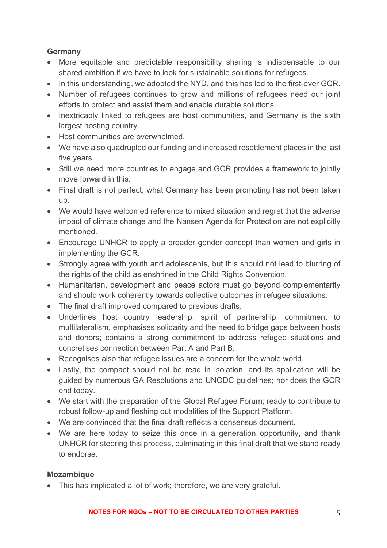### **Germany**

- More equitable and predictable responsibility sharing is indispensable to our shared ambition if we have to look for sustainable solutions for refugees.
- In this understanding, we adopted the NYD, and this has led to the first-ever GCR.
- Number of refugees continues to grow and millions of refugees need our joint efforts to protect and assist them and enable durable solutions.
- Inextricably linked to refugees are host communities, and Germany is the sixth largest hosting country.
- Host communities are overwhelmed.
- We have also quadrupled our funding and increased resettlement places in the last five years.
- Still we need more countries to engage and GCR provides a framework to jointly move forward in this.
- Final draft is not perfect; what Germany has been promoting has not been taken up.
- We would have welcomed reference to mixed situation and regret that the adverse impact of climate change and the Nansen Agenda for Protection are not explicitly mentioned.
- Encourage UNHCR to apply a broader gender concept than women and girls in implementing the GCR.
- Strongly agree with youth and adolescents, but this should not lead to blurring of the rights of the child as enshrined in the Child Rights Convention.
- Humanitarian, development and peace actors must go beyond complementarity and should work coherently towards collective outcomes in refugee situations.
- The final draft improved compared to previous drafts.
- Underlines host country leadership, spirit of partnership, commitment to multilateralism, emphasises solidarity and the need to bridge gaps between hosts and donors; contains a strong commitment to address refugee situations and concretises connection between Part A and Part B.
- Recognises also that refugee issues are a concern for the whole world.
- Lastly, the compact should not be read in isolation, and its application will be guided by numerous GA Resolutions and UNODC guidelines; nor does the GCR end today.
- We start with the preparation of the Global Refugee Forum; ready to contribute to robust follow-up and fleshing out modalities of the Support Platform.
- We are convinced that the final draft reflects a consensus document.
- We are here today to seize this once in a generation opportunity, and thank UNHCR for steering this process, culminating in this final draft that we stand ready to endorse.

### **Mozambique**

• This has implicated a lot of work; therefore, we are very grateful.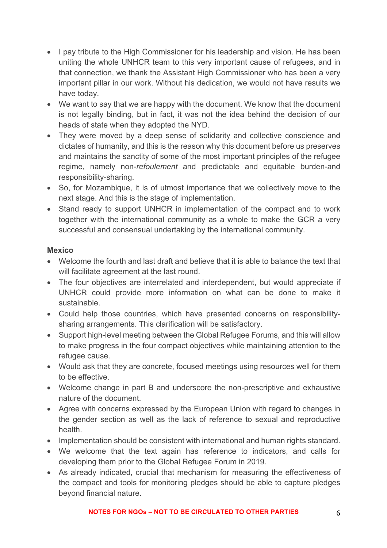- I pay tribute to the High Commissioner for his leadership and vision. He has been uniting the whole UNHCR team to this very important cause of refugees, and in that connection, we thank the Assistant High Commissioner who has been a very important pillar in our work. Without his dedication, we would not have results we have today.
- We want to say that we are happy with the document. We know that the document is not legally binding, but in fact, it was not the idea behind the decision of our heads of state when they adopted the NYD.
- They were moved by a deep sense of solidarity and collective conscience and dictates of humanity, and this is the reason why this document before us preserves and maintains the sanctity of some of the most important principles of the refugee regime, namely non-*refoulement* and predictable and equitable burden-and responsibility-sharing.
- So, for Mozambique, it is of utmost importance that we collectively move to the next stage. And this is the stage of implementation.
- Stand ready to support UNHCR in implementation of the compact and to work together with the international community as a whole to make the GCR a very successful and consensual undertaking by the international community.

### **Mexico**

- Welcome the fourth and last draft and believe that it is able to balance the text that will facilitate agreement at the last round.
- The four objectives are interrelated and interdependent, but would appreciate if UNHCR could provide more information on what can be done to make it sustainable.
- Could help those countries, which have presented concerns on responsibilitysharing arrangements. This clarification will be satisfactory.
- Support high-level meeting between the Global Refugee Forums, and this will allow to make progress in the four compact objectives while maintaining attention to the refugee cause.
- Would ask that they are concrete, focused meetings using resources well for them to be effective.
- Welcome change in part B and underscore the non-prescriptive and exhaustive nature of the document.
- Agree with concerns expressed by the European Union with regard to changes in the gender section as well as the lack of reference to sexual and reproductive health.
- Implementation should be consistent with international and human rights standard.
- We welcome that the text again has reference to indicators, and calls for developing them prior to the Global Refugee Forum in 2019.
- As already indicated, crucial that mechanism for measuring the effectiveness of the compact and tools for monitoring pledges should be able to capture pledges beyond financial nature.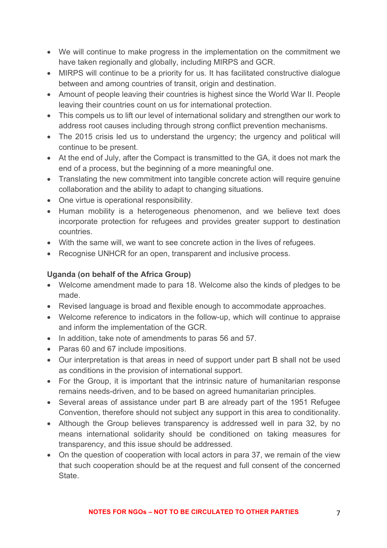- We will continue to make progress in the implementation on the commitment we have taken regionally and globally, including MIRPS and GCR.
- MIRPS will continue to be a priority for us. It has facilitated constructive dialogue between and among countries of transit, origin and destination.
- Amount of people leaving their countries is highest since the World War II. People leaving their countries count on us for international protection.
- This compels us to lift our level of international solidary and strengthen our work to address root causes including through strong conflict prevention mechanisms.
- The 2015 crisis led us to understand the urgency; the urgency and political will continue to be present.
- At the end of July, after the Compact is transmitted to the GA, it does not mark the end of a process, but the beginning of a more meaningful one.
- Translating the new commitment into tangible concrete action will require genuine collaboration and the ability to adapt to changing situations.
- One virtue is operational responsibility.
- Human mobility is a heterogeneous phenomenon, and we believe text does incorporate protection for refugees and provides greater support to destination countries.
- With the same will, we want to see concrete action in the lives of refugees.
- Recognise UNHCR for an open, transparent and inclusive process.

### **Uganda (on behalf of the Africa Group)**

- Welcome amendment made to para 18. Welcome also the kinds of pledges to be made.
- Revised language is broad and flexible enough to accommodate approaches.
- Welcome reference to indicators in the follow-up, which will continue to appraise and inform the implementation of the GCR.
- In addition, take note of amendments to paras 56 and 57.
- Paras 60 and 67 include impositions.
- Our interpretation is that areas in need of support under part B shall not be used as conditions in the provision of international support.
- For the Group, it is important that the intrinsic nature of humanitarian response remains needs-driven, and to be based on agreed humanitarian principles.
- Several areas of assistance under part B are already part of the 1951 Refugee Convention, therefore should not subject any support in this area to conditionality.
- Although the Group believes transparency is addressed well in para 32, by no means international solidarity should be conditioned on taking measures for transparency, and this issue should be addressed.
- On the question of cooperation with local actors in para 37, we remain of the view that such cooperation should be at the request and full consent of the concerned State.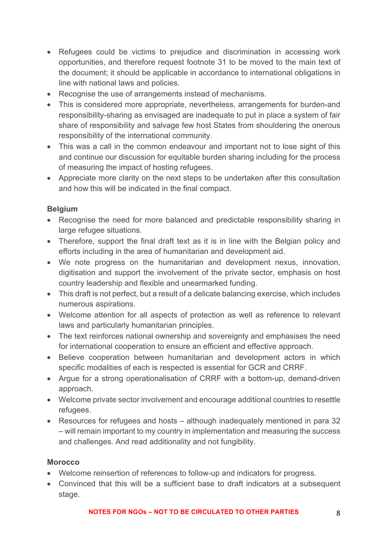- Refugees could be victims to prejudice and discrimination in accessing work opportunities, and therefore request footnote 31 to be moved to the main text of the document; it should be applicable in accordance to international obligations in line with national laws and policies.
- Recognise the use of arrangements instead of mechanisms.
- This is considered more appropriate, nevertheless, arrangements for burden-and responsibility-sharing as envisaged are inadequate to put in place a system of fair share of responsibility and salvage few host States from shouldering the onerous responsibility of the international community.
- This was a call in the common endeavour and important not to lose sight of this and continue our discussion for equitable burden sharing including for the process of measuring the impact of hosting refugees.
- Appreciate more clarity on the next steps to be undertaken after this consultation and how this will be indicated in the final compact.

### **Belgium**

- Recognise the need for more balanced and predictable responsibility sharing in large refugee situations.
- Therefore, support the final draft text as it is in line with the Belgian policy and efforts including in the area of humanitarian and development aid.
- We note progress on the humanitarian and development nexus, innovation, digitisation and support the involvement of the private sector, emphasis on host country leadership and flexible and unearmarked funding.
- This draft is not perfect, but a result of a delicate balancing exercise, which includes numerous aspirations.
- Welcome attention for all aspects of protection as well as reference to relevant laws and particularly humanitarian principles.
- The text reinforces national ownership and sovereignty and emphasises the need for international cooperation to ensure an efficient and effective approach.
- Believe cooperation between humanitarian and development actors in which specific modalities of each is respected is essential for GCR and CRRF.
- Argue for a strong operationalisation of CRRF with a bottom-up, demand-driven approach.
- Welcome private sector involvement and encourage additional countries to resettle refugees.
- Resources for refugees and hosts although inadequately mentioned in para 32 – will remain important to my country in implementation and measuring the success and challenges. And read additionality and not fungibility.

### **Morocco**

- Welcome reinsertion of references to follow-up and indicators for progress.
- Convinced that this will be a sufficient base to draft indicators at a subsequent stage.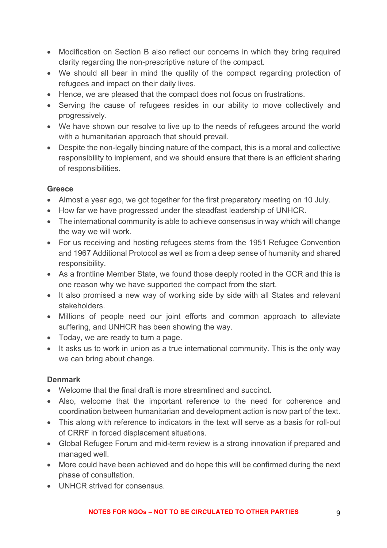- Modification on Section B also reflect our concerns in which they bring required clarity regarding the non-prescriptive nature of the compact.
- We should all bear in mind the quality of the compact regarding protection of refugees and impact on their daily lives.
- Hence, we are pleased that the compact does not focus on frustrations.
- Serving the cause of refugees resides in our ability to move collectively and progressively.
- We have shown our resolve to live up to the needs of refugees around the world with a humanitarian approach that should prevail.
- Despite the non-legally binding nature of the compact, this is a moral and collective responsibility to implement, and we should ensure that there is an efficient sharing of responsibilities.

### **Greece**

- Almost a year ago, we got together for the first preparatory meeting on 10 July.
- How far we have progressed under the steadfast leadership of UNHCR.
- The international community is able to achieve consensus in way which will change the way we will work.
- For us receiving and hosting refugees stems from the 1951 Refugee Convention and 1967 Additional Protocol as well as from a deep sense of humanity and shared responsibility.
- As a frontline Member State, we found those deeply rooted in the GCR and this is one reason why we have supported the compact from the start.
- It also promised a new way of working side by side with all States and relevant stakeholders.
- Millions of people need our joint efforts and common approach to alleviate suffering, and UNHCR has been showing the way.
- Today, we are ready to turn a page.
- It asks us to work in union as a true international community. This is the only way we can bring about change.

### **Denmark**

- Welcome that the final draft is more streamlined and succinct.
- Also, welcome that the important reference to the need for coherence and coordination between humanitarian and development action is now part of the text.
- This along with reference to indicators in the text will serve as a basis for roll-out of CRRF in forced displacement situations.
- Global Refugee Forum and mid-term review is a strong innovation if prepared and managed well.
- More could have been achieved and do hope this will be confirmed during the next phase of consultation.
- UNHCR strived for consensus.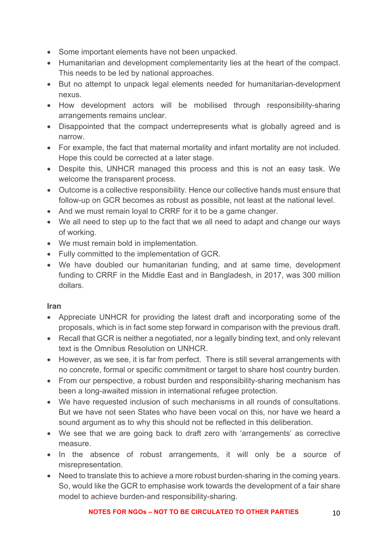- Some important elements have not been unpacked.
- Humanitarian and development complementarity lies at the heart of the compact. This needs to be led by national approaches.
- But no attempt to unpack legal elements needed for humanitarian-development nexus.
- How development actors will be mobilised through responsibility-sharing arrangements remains unclear.
- Disappointed that the compact underrepresents what is globally agreed and is narrow.
- For example, the fact that maternal mortality and infant mortality are not included. Hope this could be corrected at a later stage.
- Despite this, UNHCR managed this process and this is not an easy task. We welcome the transparent process.
- Outcome is a collective responsibility. Hence our collective hands must ensure that follow-up on GCR becomes as robust as possible, not least at the national level.
- And we must remain loval to CRRF for it to be a game changer.
- We all need to step up to the fact that we all need to adapt and change our ways of working.
- We must remain bold in implementation.
- Fully committed to the implementation of GCR.
- We have doubled our humanitarian funding, and at same time, development funding to CRRF in the Middle East and in Bangladesh, in 2017, was 300 million dollars.

### **Iran**

- Appreciate UNHCR for providing the latest draft and incorporating some of the proposals, which is in fact some step forward in comparison with the previous draft.
- Recall that GCR is neither a negotiated, nor a legally binding text, and only relevant text is the Omnibus Resolution on UNHCR.
- However, as we see, it is far from perfect. There is still several arrangements with no concrete, formal or specific commitment or target to share host country burden.
- From our perspective, a robust burden and responsibility-sharing mechanism has been a long-awaited mission in international refugee protection.
- We have requested inclusion of such mechanisms in all rounds of consultations. But we have not seen States who have been vocal on this, nor have we heard a sound argument as to why this should not be reflected in this deliberation.
- We see that we are going back to draft zero with 'arrangements' as corrective measure.
- In the absence of robust arrangements, it will only be a source of misrepresentation.
- Need to translate this to achieve a more robust burden-sharing in the coming years. So, would like the GCR to emphasise work towards the development of a fair share model to achieve burden-and responsibility-sharing.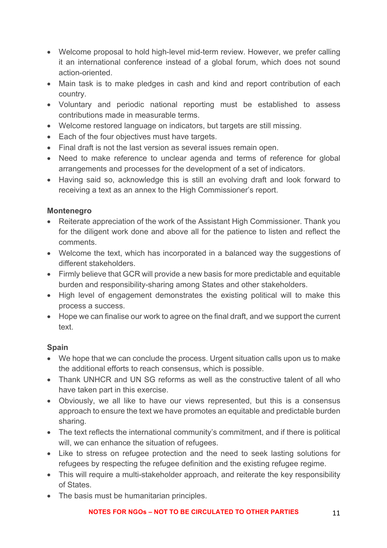- Welcome proposal to hold high-level mid-term review. However, we prefer calling it an international conference instead of a global forum, which does not sound action-oriented.
- Main task is to make pledges in cash and kind and report contribution of each country.
- Voluntary and periodic national reporting must be established to assess contributions made in measurable terms.
- Welcome restored language on indicators, but targets are still missing.
- Each of the four objectives must have targets.
- Final draft is not the last version as several issues remain open.
- Need to make reference to unclear agenda and terms of reference for global arrangements and processes for the development of a set of indicators.
- Having said so, acknowledge this is still an evolving draft and look forward to receiving a text as an annex to the High Commissioner's report.

### **Montenegro**

- Reiterate appreciation of the work of the Assistant High Commissioner. Thank you for the diligent work done and above all for the patience to listen and reflect the comments.
- Welcome the text, which has incorporated in a balanced way the suggestions of different stakeholders.
- Firmly believe that GCR will provide a new basis for more predictable and equitable burden and responsibility-sharing among States and other stakeholders.
- High level of engagement demonstrates the existing political will to make this process a success.
- Hope we can finalise our work to agree on the final draft, and we support the current text.

# **Spain**

- We hope that we can conclude the process. Urgent situation calls upon us to make the additional efforts to reach consensus, which is possible.
- Thank UNHCR and UN SG reforms as well as the constructive talent of all who have taken part in this exercise.
- Obviously, we all like to have our views represented, but this is a consensus approach to ensure the text we have promotes an equitable and predictable burden sharing.
- The text reflects the international community's commitment, and if there is political will, we can enhance the situation of refugees.
- Like to stress on refugee protection and the need to seek lasting solutions for refugees by respecting the refugee definition and the existing refugee regime.
- This will require a multi-stakeholder approach, and reiterate the key responsibility of States.
- The basis must be humanitarian principles.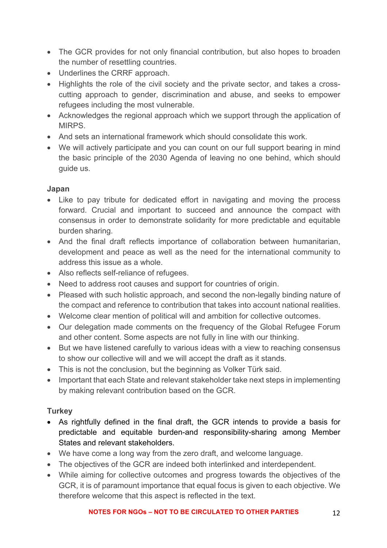- The GCR provides for not only financial contribution, but also hopes to broaden the number of resettling countries.
- Underlines the CRRF approach.
- Highlights the role of the civil society and the private sector, and takes a crosscutting approach to gender, discrimination and abuse, and seeks to empower refugees including the most vulnerable.
- Acknowledges the regional approach which we support through the application of MIRPS.
- And sets an international framework which should consolidate this work.
- We will actively participate and you can count on our full support bearing in mind the basic principle of the 2030 Agenda of leaving no one behind, which should guide us.

### **Japan**

- Like to pay tribute for dedicated effort in navigating and moving the process forward. Crucial and important to succeed and announce the compact with consensus in order to demonstrate solidarity for more predictable and equitable burden sharing.
- And the final draft reflects importance of collaboration between humanitarian, development and peace as well as the need for the international community to address this issue as a whole.
- Also reflects self-reliance of refugees.
- Need to address root causes and support for countries of origin.
- Pleased with such holistic approach, and second the non-legally binding nature of the compact and reference to contribution that takes into account national realities.
- Welcome clear mention of political will and ambition for collective outcomes.
- Our delegation made comments on the frequency of the Global Refugee Forum and other content. Some aspects are not fully in line with our thinking.
- But we have listened carefully to various ideas with a view to reaching consensus to show our collective will and we will accept the draft as it stands.
- This is not the conclusion, but the beginning as Volker Türk said.
- Important that each State and relevant stakeholder take next steps in implementing by making relevant contribution based on the GCR.

### **Turkey**

- As rightfully defined in the final draft, the GCR intends to provide a basis for predictable and equitable burden-and responsibility-sharing among Member States and relevant stakeholders.
- We have come a long way from the zero draft, and welcome language.
- The objectives of the GCR are indeed both interlinked and interdependent.
- While aiming for collective outcomes and progress towards the objectives of the GCR, it is of paramount importance that equal focus is given to each objective. We therefore welcome that this aspect is reflected in the text.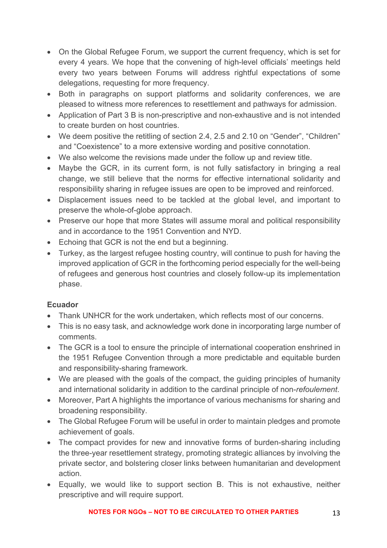- On the Global Refugee Forum, we support the current frequency, which is set for every 4 years. We hope that the convening of high-level officials' meetings held every two years between Forums will address rightful expectations of some delegations, requesting for more frequency.
- Both in paragraphs on support platforms and solidarity conferences, we are pleased to witness more references to resettlement and pathways for admission.
- Application of Part 3 B is non-prescriptive and non-exhaustive and is not intended to create burden on host countries.
- We deem positive the retitling of section 2.4, 2.5 and 2.10 on "Gender", "Children" and "Coexistence" to a more extensive wording and positive connotation.
- We also welcome the revisions made under the follow up and review title.
- Maybe the GCR, in its current form, is not fully satisfactory in bringing a real change, we still believe that the norms for effective international solidarity and responsibility sharing in refugee issues are open to be improved and reinforced.
- Displacement issues need to be tackled at the global level, and important to preserve the whole-of-globe approach.
- Preserve our hope that more States will assume moral and political responsibility and in accordance to the 1951 Convention and NYD.
- Echoing that GCR is not the end but a beginning.
- Turkey, as the largest refugee hosting country, will continue to push for having the improved application of GCR in the forthcoming period especially for the well-being of refugees and generous host countries and closely follow-up its implementation phase.

# **Ecuador**

- Thank UNHCR for the work undertaken, which reflects most of our concerns.
- This is no easy task, and acknowledge work done in incorporating large number of comments.
- The GCR is a tool to ensure the principle of international cooperation enshrined in the 1951 Refugee Convention through a more predictable and equitable burden and responsibility-sharing framework.
- We are pleased with the goals of the compact, the guiding principles of humanity and international solidarity in addition to the cardinal principle of non-*refoulement*.
- Moreover, Part A highlights the importance of various mechanisms for sharing and broadening responsibility.
- The Global Refugee Forum will be useful in order to maintain pledges and promote achievement of goals.
- The compact provides for new and innovative forms of burden-sharing including the three-year resettlement strategy, promoting strategic alliances by involving the private sector, and bolstering closer links between humanitarian and development action.
- Equally, we would like to support section B. This is not exhaustive, neither prescriptive and will require support.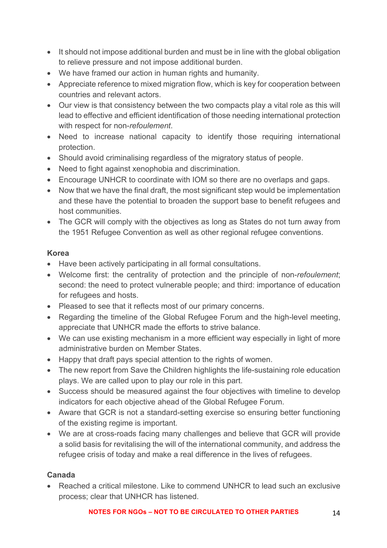- It should not impose additional burden and must be in line with the global obligation to relieve pressure and not impose additional burden.
- We have framed our action in human rights and humanity.
- Appreciate reference to mixed migration flow, which is key for cooperation between countries and relevant actors.
- Our view is that consistency between the two compacts play a vital role as this will lead to effective and efficient identification of those needing international protection with respect for non-*refoulement*.
- Need to increase national capacity to identify those requiring international protection.
- Should avoid criminalising regardless of the migratory status of people.
- Need to fight against xenophobia and discrimination.
- Encourage UNHCR to coordinate with IOM so there are no overlaps and gaps.
- Now that we have the final draft, the most significant step would be implementation and these have the potential to broaden the support base to benefit refugees and host communities.
- The GCR will comply with the objectives as long as States do not turn away from the 1951 Refugee Convention as well as other regional refugee conventions.

### **Korea**

- Have been actively participating in all formal consultations.
- Welcome first: the centrality of protection and the principle of non-*refoulement*; second: the need to protect vulnerable people; and third: importance of education for refugees and hosts.
- Pleased to see that it reflects most of our primary concerns.
- Regarding the timeline of the Global Refugee Forum and the high-level meeting, appreciate that UNHCR made the efforts to strive balance.
- We can use existing mechanism in a more efficient way especially in light of more administrative burden on Member States.
- Happy that draft pays special attention to the rights of women.
- The new report from Save the Children highlights the life-sustaining role education plays. We are called upon to play our role in this part.
- Success should be measured against the four objectives with timeline to develop indicators for each objective ahead of the Global Refugee Forum.
- Aware that GCR is not a standard-setting exercise so ensuring better functioning of the existing regime is important.
- We are at cross-roads facing many challenges and believe that GCR will provide a solid basis for revitalising the will of the international community, and address the refugee crisis of today and make a real difference in the lives of refugees.

### **Canada**

• Reached a critical milestone. Like to commend UNHCR to lead such an exclusive process; clear that UNHCR has listened.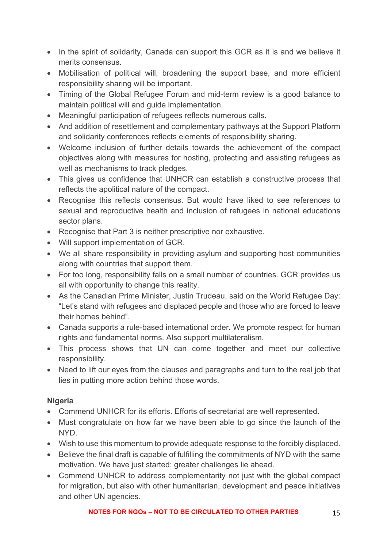- In the spirit of solidarity, Canada can support this GCR as it is and we believe it merits consensus.
- Mobilisation of political will, broadening the support base, and more efficient responsibility sharing will be important.
- Timing of the Global Refugee Forum and mid-term review is a good balance to maintain political will and guide implementation.
- Meaningful participation of refugees reflects numerous calls.
- And addition of resettlement and complementary pathways at the Support Platform and solidarity conferences reflects elements of responsibility sharing.
- Welcome inclusion of further details towards the achievement of the compact objectives along with measures for hosting, protecting and assisting refugees as well as mechanisms to track pledges.
- This gives us confidence that UNHCR can establish a constructive process that reflects the apolitical nature of the compact.
- Recognise this reflects consensus. But would have liked to see references to sexual and reproductive health and inclusion of refugees in national educations sector plans.
- Recognise that Part 3 is neither prescriptive nor exhaustive.
- Will support implementation of GCR.
- We all share responsibility in providing asylum and supporting host communities along with countries that support them.
- For too long, responsibility falls on a small number of countries. GCR provides us all with opportunity to change this reality.
- As the Canadian Prime Minister, Justin Trudeau, said on the World Refugee Day: "Let's stand with refugees and displaced people and those who are forced to leave their homes behind".
- Canada supports a rule-based international order. We promote respect for human rights and fundamental norms. Also support multilateralism.
- This process shows that UN can come together and meet our collective responsibility.
- Need to lift our eyes from the clauses and paragraphs and turn to the real job that lies in putting more action behind those words.

### **Nigeria**

- Commend UNHCR for its efforts. Efforts of secretariat are well represented.
- Must congratulate on how far we have been able to go since the launch of the NYD.
- Wish to use this momentum to provide adequate response to the forcibly displaced.
- Believe the final draft is capable of fulfilling the commitments of NYD with the same motivation. We have just started; greater challenges lie ahead.
- Commend UNHCR to address complementarity not just with the global compact for migration, but also with other humanitarian, development and peace initiatives and other UN agencies.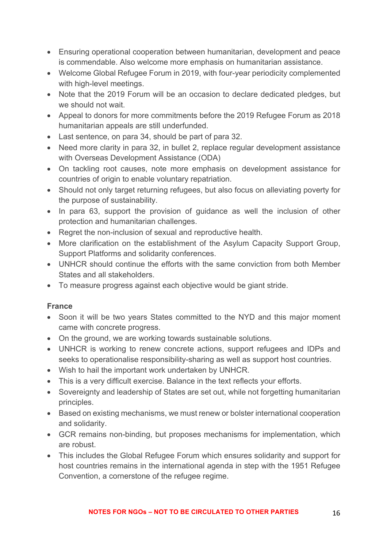- Ensuring operational cooperation between humanitarian, development and peace is commendable. Also welcome more emphasis on humanitarian assistance.
- Welcome Global Refugee Forum in 2019, with four-year periodicity complemented with high-level meetings.
- Note that the 2019 Forum will be an occasion to declare dedicated pledges, but we should not wait.
- Appeal to donors for more commitments before the 2019 Refugee Forum as 2018 humanitarian appeals are still underfunded.
- Last sentence, on para 34, should be part of para 32.
- Need more clarity in para 32, in bullet 2, replace regular development assistance with Overseas Development Assistance (ODA)
- On tackling root causes, note more emphasis on development assistance for countries of origin to enable voluntary repatriation.
- Should not only target returning refugees, but also focus on alleviating poverty for the purpose of sustainability.
- In para 63, support the provision of guidance as well the inclusion of other protection and humanitarian challenges.
- Regret the non-inclusion of sexual and reproductive health.
- More clarification on the establishment of the Asylum Capacity Support Group, Support Platforms and solidarity conferences.
- UNHCR should continue the efforts with the same conviction from both Member States and all stakeholders.
- To measure progress against each objective would be giant stride.

### **France**

- Soon it will be two vears States committed to the NYD and this major moment came with concrete progress.
- On the ground, we are working towards sustainable solutions.
- UNHCR is working to renew concrete actions, support refugees and IDPs and seeks to operationalise responsibility-sharing as well as support host countries.
- Wish to hail the important work undertaken by UNHCR.
- This is a very difficult exercise. Balance in the text reflects your efforts.
- Sovereignty and leadership of States are set out, while not forgetting humanitarian principles.
- Based on existing mechanisms, we must renew or bolster international cooperation and solidarity.
- GCR remains non-binding, but proposes mechanisms for implementation, which are robust.
- This includes the Global Refugee Forum which ensures solidarity and support for host countries remains in the international agenda in step with the 1951 Refugee Convention, a cornerstone of the refugee regime.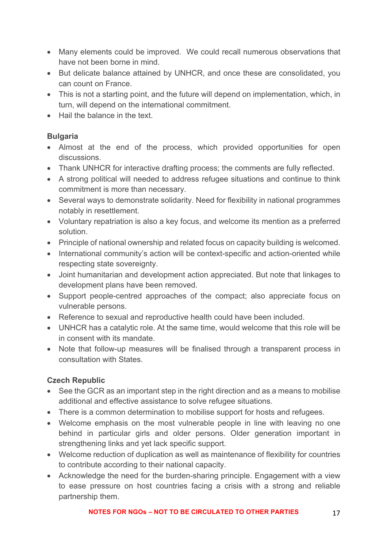- Many elements could be improved. We could recall numerous observations that have not been borne in mind.
- But delicate balance attained by UNHCR, and once these are consolidated, you can count on France.
- This is not a starting point, and the future will depend on implementation, which, in turn, will depend on the international commitment.
- Hail the balance in the text.

### **Bulgaria**

- Almost at the end of the process, which provided opportunities for open discussions.
- Thank UNHCR for interactive drafting process; the comments are fully reflected.
- A strong political will needed to address refugee situations and continue to think commitment is more than necessary.
- Several ways to demonstrate solidarity. Need for flexibility in national programmes notably in resettlement.
- Voluntary repatriation is also a key focus, and welcome its mention as a preferred solution.
- Principle of national ownership and related focus on capacity building is welcomed.
- International community's action will be context-specific and action-oriented while respecting state sovereignty.
- Joint humanitarian and development action appreciated. But note that linkages to development plans have been removed.
- Support people-centred approaches of the compact; also appreciate focus on vulnerable persons.
- Reference to sexual and reproductive health could have been included.
- UNHCR has a catalytic role. At the same time, would welcome that this role will be in consent with its mandate.
- Note that follow-up measures will be finalised through a transparent process in consultation with States.

# **Czech Republic**

- See the GCR as an important step in the right direction and as a means to mobilise additional and effective assistance to solve refugee situations.
- There is a common determination to mobilise support for hosts and refugees.
- Welcome emphasis on the most vulnerable people in line with leaving no one behind in particular girls and older persons. Older generation important in strengthening links and yet lack specific support.
- Welcome reduction of duplication as well as maintenance of flexibility for countries to contribute according to their national capacity.
- Acknowledge the need for the burden-sharing principle. Engagement with a view to ease pressure on host countries facing a crisis with a strong and reliable partnership them.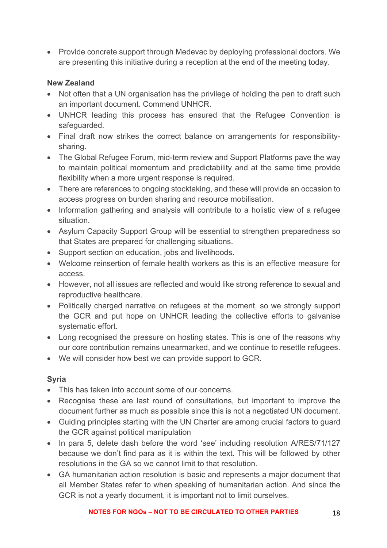• Provide concrete support through Medevac by deploying professional doctors. We are presenting this initiative during a reception at the end of the meeting today.

#### **New Zealand**

- Not often that a UN organisation has the privilege of holding the pen to draft such an important document. Commend UNHCR.
- UNHCR leading this process has ensured that the Refugee Convention is safeguarded.
- Final draft now strikes the correct balance on arrangements for responsibilitysharing.
- The Global Refugee Forum, mid-term review and Support Platforms pave the way to maintain political momentum and predictability and at the same time provide flexibility when a more urgent response is required.
- There are references to ongoing stocktaking, and these will provide an occasion to access progress on burden sharing and resource mobilisation.
- Information gathering and analysis will contribute to a holistic view of a refugee situation.
- Asylum Capacity Support Group will be essential to strengthen preparedness so that States are prepared for challenging situations.
- Support section on education, jobs and livelihoods.
- Welcome reinsertion of female health workers as this is an effective measure for access.
- However, not all issues are reflected and would like strong reference to sexual and reproductive healthcare.
- Politically charged narrative on refugees at the moment, so we strongly support the GCR and put hope on UNHCR leading the collective efforts to galvanise systematic effort.
- Long recognised the pressure on hosting states. This is one of the reasons why our core contribution remains unearmarked, and we continue to resettle refugees.
- We will consider how best we can provide support to GCR.

### **Syria**

- This has taken into account some of our concerns.
- Recognise these are last round of consultations, but important to improve the document further as much as possible since this is not a negotiated UN document.
- Guiding principles starting with the UN Charter are among crucial factors to guard the GCR against political manipulation
- In para 5, delete dash before the word 'see' including resolution A/RES/71/127 because we don't find para as it is within the text. This will be followed by other resolutions in the GA so we cannot limit to that resolution.
- GA humanitarian action resolution is basic and represents a major document that all Member States refer to when speaking of humanitarian action. And since the GCR is not a yearly document, it is important not to limit ourselves.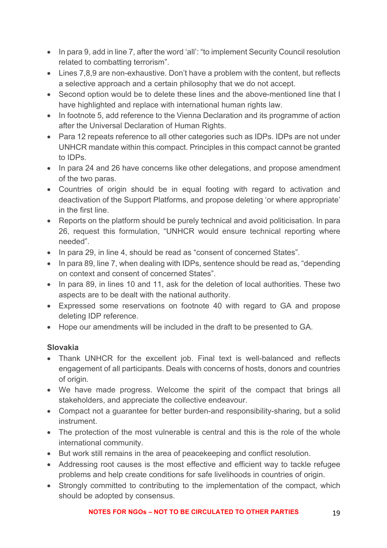- In para 9, add in line 7, after the word 'all': "to implement Security Council resolution related to combatting terrorism".
- Lines 7,8,9 are non-exhaustive. Don't have a problem with the content, but reflects a selective approach and a certain philosophy that we do not accept.
- Second option would be to delete these lines and the above-mentioned line that I have highlighted and replace with international human rights law.
- In footnote 5, add reference to the Vienna Declaration and its programme of action after the Universal Declaration of Human Rights.
- Para 12 repeats reference to all other categories such as IDPs. IDPs are not under UNHCR mandate within this compact. Principles in this compact cannot be granted to IDPs.
- In para 24 and 26 have concerns like other delegations, and propose amendment of the two paras.
- Countries of origin should be in equal footing with regard to activation and deactivation of the Support Platforms, and propose deleting 'or where appropriate' in the first line.
- Reports on the platform should be purely technical and avoid politicisation. In para 26, request this formulation, "UNHCR would ensure technical reporting where needed".
- In para 29, in line 4, should be read as "consent of concerned States".
- In para 89, line 7, when dealing with IDPs, sentence should be read as, "depending on context and consent of concerned States".
- In para 89, in lines 10 and 11, ask for the deletion of local authorities. These two aspects are to be dealt with the national authority.
- Expressed some reservations on footnote 40 with regard to GA and propose deleting IDP reference.
- Hope our amendments will be included in the draft to be presented to GA.

### **Slovakia**

- Thank UNHCR for the excellent job. Final text is well-balanced and reflects engagement of all participants. Deals with concerns of hosts, donors and countries of origin.
- We have made progress. Welcome the spirit of the compact that brings all stakeholders, and appreciate the collective endeavour.
- Compact not a guarantee for better burden-and responsibility-sharing, but a solid instrument.
- The protection of the most vulnerable is central and this is the role of the whole international community.
- But work still remains in the area of peacekeeping and conflict resolution.
- Addressing root causes is the most effective and efficient way to tackle refugee problems and help create conditions for safe livelihoods in countries of origin.
- Strongly committed to contributing to the implementation of the compact, which should be adopted by consensus.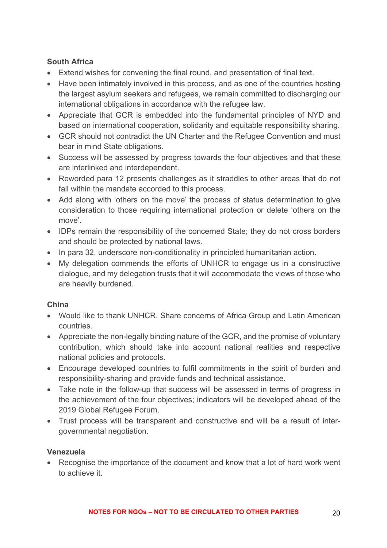### **South Africa**

- Extend wishes for convening the final round, and presentation of final text.
- Have been intimately involved in this process, and as one of the countries hosting the largest asylum seekers and refugees, we remain committed to discharging our international obligations in accordance with the refugee law.
- Appreciate that GCR is embedded into the fundamental principles of NYD and based on international cooperation, solidarity and equitable responsibility sharing.
- GCR should not contradict the UN Charter and the Refugee Convention and must bear in mind State obligations.
- Success will be assessed by progress towards the four objectives and that these are interlinked and interdependent.
- Reworded para 12 presents challenges as it straddles to other areas that do not fall within the mandate accorded to this process.
- Add along with 'others on the move' the process of status determination to give consideration to those requiring international protection or delete 'others on the move'.
- IDPs remain the responsibility of the concerned State; they do not cross borders and should be protected by national laws.
- In para 32, underscore non-conditionality in principled humanitarian action.
- My delegation commends the efforts of UNHCR to engage us in a constructive dialogue, and my delegation trusts that it will accommodate the views of those who are heavily burdened.

# **China**

- Would like to thank UNHCR. Share concerns of Africa Group and Latin American countries.
- Appreciate the non-legally binding nature of the GCR, and the promise of voluntary contribution, which should take into account national realities and respective national policies and protocols.
- Encourage developed countries to fulfil commitments in the spirit of burden and responsibility-sharing and provide funds and technical assistance.
- Take note in the follow-up that success will be assessed in terms of progress in the achievement of the four objectives; indicators will be developed ahead of the 2019 Global Refugee Forum.
- Trust process will be transparent and constructive and will be a result of intergovernmental negotiation.

# **Venezuela**

• Recognise the importance of the document and know that a lot of hard work went to achieve it.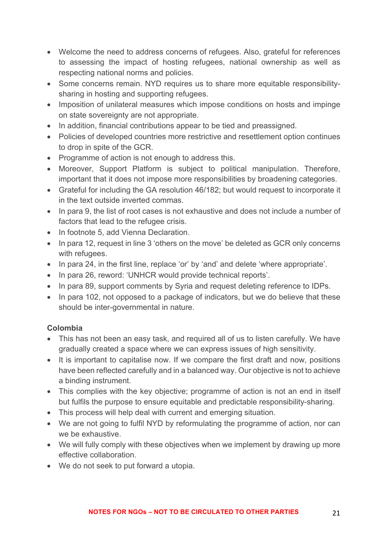- Welcome the need to address concerns of refugees. Also, grateful for references to assessing the impact of hosting refugees, national ownership as well as respecting national norms and policies.
- Some concerns remain. NYD requires us to share more equitable responsibilitysharing in hosting and supporting refugees.
- Imposition of unilateral measures which impose conditions on hosts and impinge on state sovereignty are not appropriate.
- In addition, financial contributions appear to be tied and preassigned.
- Policies of developed countries more restrictive and resettlement option continues to drop in spite of the GCR.
- Programme of action is not enough to address this.
- Moreover, Support Platform is subject to political manipulation. Therefore, important that it does not impose more responsibilities by broadening categories.
- Grateful for including the GA resolution 46/182; but would request to incorporate it in the text outside inverted commas.
- In para 9, the list of root cases is not exhaustive and does not include a number of factors that lead to the refugee crisis.
- In footnote 5, add Vienna Declaration.
- In para 12, request in line 3 'others on the move' be deleted as GCR only concerns with refugees.
- In para 24, in the first line, replace 'or' by 'and' and delete 'where appropriate'.
- In para 26, reword: 'UNHCR would provide technical reports'.
- In para 89, support comments by Syria and request deleting reference to IDPs.
- In para 102, not opposed to a package of indicators, but we do believe that these should be inter-governmental in nature.

# **Colombia**

- This has not been an easy task, and required all of us to listen carefully. We have gradually created a space where we can express issues of high sensitivity.
- It is important to capitalise now. If we compare the first draft and now, positions have been reflected carefully and in a balanced way. Our objective is not to achieve a binding instrument.
- This complies with the key objective; programme of action is not an end in itself but fulfils the purpose to ensure equitable and predictable responsibility-sharing.
- This process will help deal with current and emerging situation.
- We are not going to fulfil NYD by reformulating the programme of action, nor can we be exhaustive.
- We will fully comply with these objectives when we implement by drawing up more effective collaboration.
- We do not seek to put forward a utopia.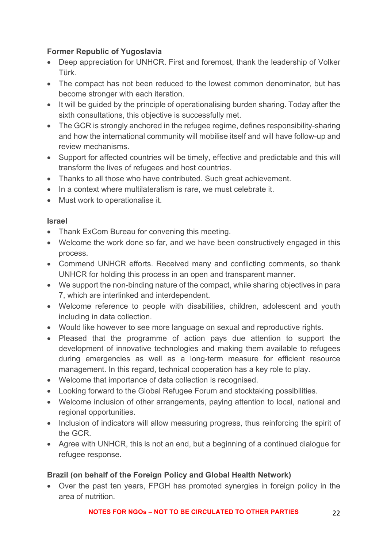### **Former Republic of Yugoslavia**

- Deep appreciation for UNHCR. First and foremost, thank the leadership of Volker Türk.
- The compact has not been reduced to the lowest common denominator, but has become stronger with each iteration.
- It will be guided by the principle of operationalising burden sharing. Today after the sixth consultations, this objective is successfully met.
- The GCR is strongly anchored in the refugee regime, defines responsibility-sharing and how the international community will mobilise itself and will have follow-up and review mechanisms.
- Support for affected countries will be timely, effective and predictable and this will transform the lives of refugees and host countries.
- Thanks to all those who have contributed. Such great achievement.
- In a context where multilateralism is rare, we must celebrate it.
- Must work to operationalise it.

### **Israel**

- Thank ExCom Bureau for convening this meeting.
- Welcome the work done so far, and we have been constructively engaged in this process.
- Commend UNHCR efforts. Received many and conflicting comments, so thank UNHCR for holding this process in an open and transparent manner.
- We support the non-binding nature of the compact, while sharing objectives in para 7, which are interlinked and interdependent.
- Welcome reference to people with disabilities, children, adolescent and youth including in data collection.
- Would like however to see more language on sexual and reproductive rights.
- Pleased that the programme of action pays due attention to support the development of innovative technologies and making them available to refugees during emergencies as well as a long-term measure for efficient resource management. In this regard, technical cooperation has a key role to play.
- Welcome that importance of data collection is recognised.
- Looking forward to the Global Refugee Forum and stocktaking possibilities.
- Welcome inclusion of other arrangements, paying attention to local, national and regional opportunities.
- Inclusion of indicators will allow measuring progress, thus reinforcing the spirit of the GCR.
- Agree with UNHCR, this is not an end, but a beginning of a continued dialogue for refugee response.

### **Brazil (on behalf of the Foreign Policy and Global Health Network)**

• Over the past ten years, FPGH has promoted synergies in foreign policy in the area of nutrition.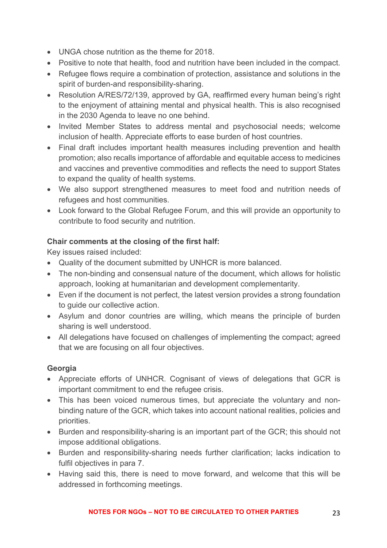- UNGA chose nutrition as the theme for 2018.
- Positive to note that health, food and nutrition have been included in the compact.
- Refugee flows require a combination of protection, assistance and solutions in the spirit of burden-and responsibility-sharing.
- Resolution A/RES/72/139, approved by GA, reaffirmed every human being's right to the enjoyment of attaining mental and physical health. This is also recognised in the 2030 Agenda to leave no one behind.
- Invited Member States to address mental and psychosocial needs; welcome inclusion of health. Appreciate efforts to ease burden of host countries.
- Final draft includes important health measures including prevention and health promotion; also recalls importance of affordable and equitable access to medicines and vaccines and preventive commodities and reflects the need to support States to expand the quality of health systems.
- We also support strengthened measures to meet food and nutrition needs of refugees and host communities.
- Look forward to the Global Refugee Forum, and this will provide an opportunity to contribute to food security and nutrition.

### **Chair comments at the closing of the first half:**

Key issues raised included:

- Quality of the document submitted by UNHCR is more balanced.
- The non-binding and consensual nature of the document, which allows for holistic approach, looking at humanitarian and development complementarity.
- Even if the document is not perfect, the latest version provides a strong foundation to guide our collective action.
- Asylum and donor countries are willing, which means the principle of burden sharing is well understood.
- All delegations have focused on challenges of implementing the compact; agreed that we are focusing on all four objectives.

### **Georgia**

- Appreciate efforts of UNHCR. Cognisant of views of delegations that GCR is important commitment to end the refugee crisis.
- This has been voiced numerous times, but appreciate the voluntary and nonbinding nature of the GCR, which takes into account national realities, policies and priorities.
- Burden and responsibility-sharing is an important part of the GCR; this should not impose additional obligations.
- Burden and responsibility-sharing needs further clarification; lacks indication to fulfil objectives in para 7.
- Having said this, there is need to move forward, and welcome that this will be addressed in forthcoming meetings.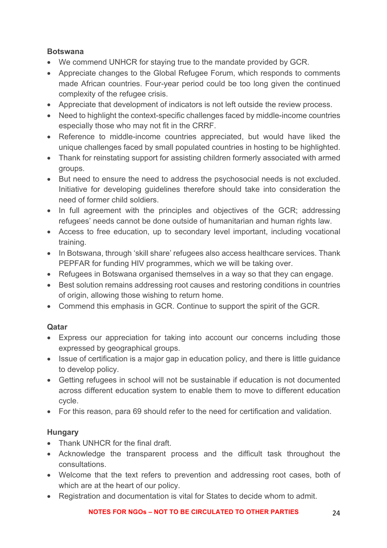### **Botswana**

- We commend UNHCR for staying true to the mandate provided by GCR.
- Appreciate changes to the Global Refugee Forum, which responds to comments made African countries. Four-year period could be too long given the continued complexity of the refugee crisis.
- Appreciate that development of indicators is not left outside the review process.
- Need to highlight the context-specific challenges faced by middle-income countries especially those who may not fit in the CRRF.
- Reference to middle-income countries appreciated, but would have liked the unique challenges faced by small populated countries in hosting to be highlighted.
- Thank for reinstating support for assisting children formerly associated with armed groups.
- But need to ensure the need to address the psychosocial needs is not excluded. Initiative for developing guidelines therefore should take into consideration the need of former child soldiers.
- In full agreement with the principles and objectives of the GCR; addressing refugees' needs cannot be done outside of humanitarian and human rights law.
- Access to free education, up to secondary level important, including vocational training.
- In Botswana, through 'skill share' refugees also access healthcare services. Thank PEPFAR for funding HIV programmes, which we will be taking over.
- Refugees in Botswana organised themselves in a way so that they can engage.
- Best solution remains addressing root causes and restoring conditions in countries of origin, allowing those wishing to return home.
- Commend this emphasis in GCR. Continue to support the spirit of the GCR.

# **Qatar**

- Express our appreciation for taking into account our concerns including those expressed by geographical groups.
- Issue of certification is a major gap in education policy, and there is little guidance to develop policy.
- Getting refugees in school will not be sustainable if education is not documented across different education system to enable them to move to different education cycle.
- For this reason, para 69 should refer to the need for certification and validation.

# **Hungary**

- Thank UNHCR for the final draft.
- Acknowledge the transparent process and the difficult task throughout the consultations.
- Welcome that the text refers to prevention and addressing root cases, both of which are at the heart of our policy.
- Registration and documentation is vital for States to decide whom to admit.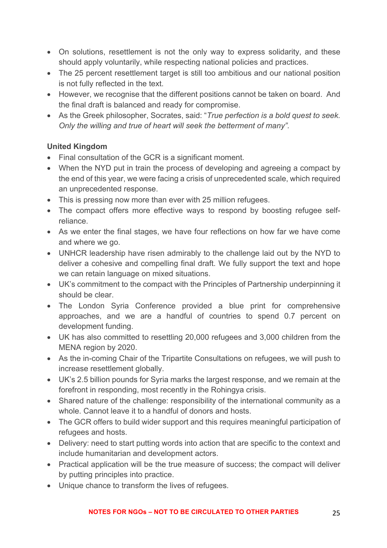- On solutions, resettlement is not the only way to express solidarity, and these should apply voluntarily, while respecting national policies and practices.
- The 25 percent resettlement target is still too ambitious and our national position is not fully reflected in the text.
- However, we recognise that the different positions cannot be taken on board. And the final draft is balanced and ready for compromise.
- As the Greek philosopher, Socrates, said: "*True perfection is a bold quest to seek. Only the willing and true of heart will seek the betterment of many".*

# **United Kingdom**

- Final consultation of the GCR is a significant moment.
- When the NYD put in train the process of developing and agreeing a compact by the end of this year, we were facing a crisis of unprecedented scale, which required an unprecedented response.
- This is pressing now more than ever with 25 million refugees.
- The compact offers more effective ways to respond by boosting refugee selfreliance.
- As we enter the final stages, we have four reflections on how far we have come and where we go.
- UNHCR leadership have risen admirably to the challenge laid out by the NYD to deliver a cohesive and compelling final draft. We fully support the text and hope we can retain language on mixed situations.
- UK's commitment to the compact with the Principles of Partnership underpinning it should be clear.
- The London Syria Conference provided a blue print for comprehensive approaches, and we are a handful of countries to spend 0.7 percent on development funding.
- UK has also committed to resettling 20,000 refugees and 3,000 children from the MENA region by 2020.
- As the in-coming Chair of the Tripartite Consultations on refugees, we will push to increase resettlement globally.
- UK's 2.5 billion pounds for Syria marks the largest response, and we remain at the forefront in responding, most recently in the Rohingya crisis.
- Shared nature of the challenge: responsibility of the international community as a whole. Cannot leave it to a handful of donors and hosts.
- The GCR offers to build wider support and this requires meaningful participation of refugees and hosts.
- Delivery: need to start putting words into action that are specific to the context and include humanitarian and development actors.
- Practical application will be the true measure of success; the compact will deliver by putting principles into practice.
- Unique chance to transform the lives of refugees.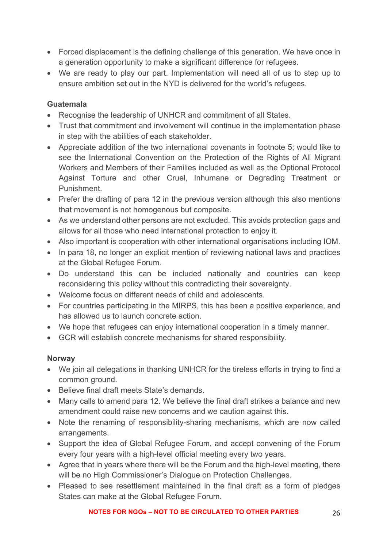- Forced displacement is the defining challenge of this generation. We have once in a generation opportunity to make a significant difference for refugees.
- We are ready to play our part. Implementation will need all of us to step up to ensure ambition set out in the NYD is delivered for the world's refugees.

### **Guatemala**

- Recognise the leadership of UNHCR and commitment of all States.
- Trust that commitment and involvement will continue in the implementation phase in step with the abilities of each stakeholder.
- Appreciate addition of the two international covenants in footnote 5; would like to see the International Convention on the Protection of the Rights of All Migrant Workers and Members of their Families included as well as the Optional Protocol Against Torture and other Cruel, Inhumane or Degrading Treatment or Punishment.
- Prefer the drafting of para 12 in the previous version although this also mentions that movement is not homogenous but composite.
- As we understand other persons are not excluded. This avoids protection gaps and allows for all those who need international protection to enjoy it.
- Also important is cooperation with other international organisations including IOM.
- In para 18, no longer an explicit mention of reviewing national laws and practices at the Global Refugee Forum.
- Do understand this can be included nationally and countries can keep reconsidering this policy without this contradicting their sovereignty.
- Welcome focus on different needs of child and adolescents.
- For countries participating in the MIRPS, this has been a positive experience, and has allowed us to launch concrete action.
- We hope that refugees can enjoy international cooperation in a timely manner.
- GCR will establish concrete mechanisms for shared responsibility.

### **Norway**

- We join all delegations in thanking UNHCR for the tireless efforts in trying to find a common ground.
- Believe final draft meets State's demands.
- Many calls to amend para 12. We believe the final draft strikes a balance and new amendment could raise new concerns and we caution against this.
- Note the renaming of responsibility-sharing mechanisms, which are now called arrangements.
- Support the idea of Global Refugee Forum, and accept convening of the Forum every four years with a high-level official meeting every two years.
- Agree that in years where there will be the Forum and the high-level meeting, there will be no High Commissioner's Dialogue on Protection Challenges.
- Pleased to see resettlement maintained in the final draft as a form of pledges States can make at the Global Refugee Forum.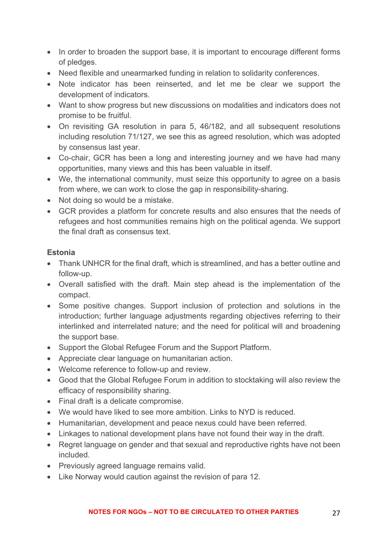- In order to broaden the support base, it is important to encourage different forms of pledges.
- Need flexible and unearmarked funding in relation to solidarity conferences.
- Note indicator has been reinserted, and let me be clear we support the development of indicators.
- Want to show progress but new discussions on modalities and indicators does not promise to be fruitful.
- On revisiting GA resolution in para 5, 46/182, and all subsequent resolutions including resolution 71/127, we see this as agreed resolution, which was adopted by consensus last year.
- Co-chair, GCR has been a long and interesting journey and we have had many opportunities, many views and this has been valuable in itself.
- We, the international community, must seize this opportunity to agree on a basis from where, we can work to close the gap in responsibility-sharing.
- Not doing so would be a mistake.
- GCR provides a platform for concrete results and also ensures that the needs of refugees and host communities remains high on the political agenda. We support the final draft as consensus text.

### **Estonia**

- Thank UNHCR for the final draft, which is streamlined, and has a better outline and follow-up.
- Overall satisfied with the draft. Main step ahead is the implementation of the compact.
- Some positive changes. Support inclusion of protection and solutions in the introduction; further language adjustments regarding objectives referring to their interlinked and interrelated nature; and the need for political will and broadening the support base.
- Support the Global Refugee Forum and the Support Platform.
- Appreciate clear language on humanitarian action.
- Welcome reference to follow-up and review.
- Good that the Global Refugee Forum in addition to stocktaking will also review the efficacy of responsibility sharing.
- Final draft is a delicate compromise.
- We would have liked to see more ambition. Links to NYD is reduced.
- Humanitarian, development and peace nexus could have been referred.
- Linkages to national development plans have not found their way in the draft.
- Regret language on gender and that sexual and reproductive rights have not been included.
- Previously agreed language remains valid.
- Like Norway would caution against the revision of para 12.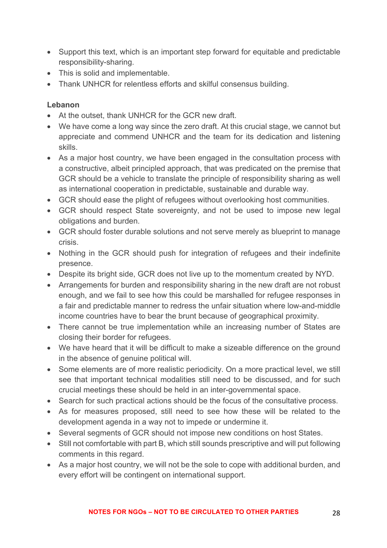- Support this text, which is an important step forward for equitable and predictable responsibility-sharing.
- This is solid and implementable.
- Thank UNHCR for relentless efforts and skilful consensus building.

### **Lebanon**

- At the outset, thank UNHCR for the GCR new draft.
- We have come a long way since the zero draft. At this crucial stage, we cannot but appreciate and commend UNHCR and the team for its dedication and listening skills.
- As a major host country, we have been engaged in the consultation process with a constructive, albeit principled approach, that was predicated on the premise that GCR should be a vehicle to translate the principle of responsibility sharing as well as international cooperation in predictable, sustainable and durable way.
- GCR should ease the plight of refugees without overlooking host communities.
- GCR should respect State sovereignty, and not be used to impose new legal obligations and burden.
- GCR should foster durable solutions and not serve merely as blueprint to manage crisis.
- Nothing in the GCR should push for integration of refugees and their indefinite presence.
- Despite its bright side, GCR does not live up to the momentum created by NYD.
- Arrangements for burden and responsibility sharing in the new draft are not robust enough, and we fail to see how this could be marshalled for refugee responses in a fair and predictable manner to redress the unfair situation where low-and-middle income countries have to bear the brunt because of geographical proximity.
- There cannot be true implementation while an increasing number of States are closing their border for refugees.
- We have heard that it will be difficult to make a sizeable difference on the ground in the absence of genuine political will.
- Some elements are of more realistic periodicity. On a more practical level, we still see that important technical modalities still need to be discussed, and for such crucial meetings these should be held in an inter-governmental space.
- Search for such practical actions should be the focus of the consultative process.
- As for measures proposed, still need to see how these will be related to the development agenda in a way not to impede or undermine it.
- Several segments of GCR should not impose new conditions on host States.
- Still not comfortable with part B, which still sounds prescriptive and will put following comments in this regard.
- As a major host country, we will not be the sole to cope with additional burden, and every effort will be contingent on international support.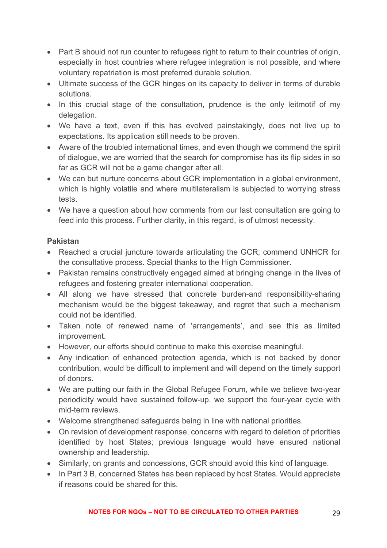- Part B should not run counter to refugees right to return to their countries of origin, especially in host countries where refugee integration is not possible, and where voluntary repatriation is most preferred durable solution.
- Ultimate success of the GCR hinges on its capacity to deliver in terms of durable solutions.
- In this crucial stage of the consultation, prudence is the only leitmotif of my delegation.
- We have a text, even if this has evolved painstakingly, does not live up to expectations. Its application still needs to be proven.
- Aware of the troubled international times, and even though we commend the spirit of dialogue, we are worried that the search for compromise has its flip sides in so far as GCR will not be a game changer after all.
- We can but nurture concerns about GCR implementation in a global environment, which is highly volatile and where multilateralism is subjected to worrying stress tests.
- We have a question about how comments from our last consultation are going to feed into this process. Further clarity, in this regard, is of utmost necessity.

### **Pakistan**

- Reached a crucial juncture towards articulating the GCR; commend UNHCR for the consultative process. Special thanks to the High Commissioner.
- Pakistan remains constructively engaged aimed at bringing change in the lives of refugees and fostering greater international cooperation.
- All along we have stressed that concrete burden-and responsibility-sharing mechanism would be the biggest takeaway, and regret that such a mechanism could not be identified.
- Taken note of renewed name of 'arrangements', and see this as limited improvement.
- However, our efforts should continue to make this exercise meaningful.
- Any indication of enhanced protection agenda, which is not backed by donor contribution, would be difficult to implement and will depend on the timely support of donors.
- We are putting our faith in the Global Refugee Forum, while we believe two-year periodicity would have sustained follow-up, we support the four-year cycle with mid-term reviews.
- Welcome strengthened safeguards being in line with national priorities.
- On revision of development response, concerns with regard to deletion of priorities identified by host States; previous language would have ensured national ownership and leadership.
- Similarly, on grants and concessions, GCR should avoid this kind of language.
- In Part 3 B, concerned States has been replaced by host States. Would appreciate if reasons could be shared for this.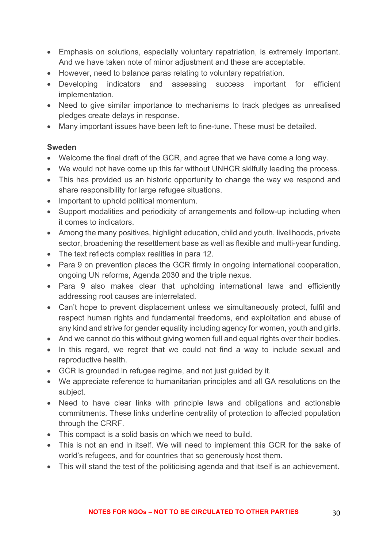- Emphasis on solutions, especially voluntary repatriation, is extremely important. And we have taken note of minor adjustment and these are acceptable.
- However, need to balance paras relating to voluntary repatriation.
- Developing indicators and assessing success important for efficient implementation.
- Need to give similar importance to mechanisms to track pledges as unrealised pledges create delays in response.
- Many important issues have been left to fine-tune. These must be detailed.

#### **Sweden**

- Welcome the final draft of the GCR, and agree that we have come a long way.
- We would not have come up this far without UNHCR skilfully leading the process.
- This has provided us an historic opportunity to change the way we respond and share responsibility for large refugee situations.
- Important to uphold political momentum.
- Support modalities and periodicity of arrangements and follow-up including when it comes to indicators.
- Among the many positives, highlight education, child and youth, livelihoods, private sector, broadening the resettlement base as well as flexible and multi-year funding.
- The text reflects complex realities in para 12.
- Para 9 on prevention places the GCR firmly in ongoing international cooperation, ongoing UN reforms, Agenda 2030 and the triple nexus.
- Para 9 also makes clear that upholding international laws and efficiently addressing root causes are interrelated.
- Can't hope to prevent displacement unless we simultaneously protect, fulfil and respect human rights and fundamental freedoms, end exploitation and abuse of any kind and strive for gender equality including agency for women, youth and girls.
- And we cannot do this without giving women full and equal rights over their bodies.
- In this regard, we regret that we could not find a way to include sexual and reproductive health.
- GCR is grounded in refugee regime, and not just guided by it.
- We appreciate reference to humanitarian principles and all GA resolutions on the subject.
- Need to have clear links with principle laws and obligations and actionable commitments. These links underline centrality of protection to affected population through the CRRF.
- This compact is a solid basis on which we need to build.
- This is not an end in itself. We will need to implement this GCR for the sake of world's refugees, and for countries that so generously host them.
- This will stand the test of the politicising agenda and that itself is an achievement.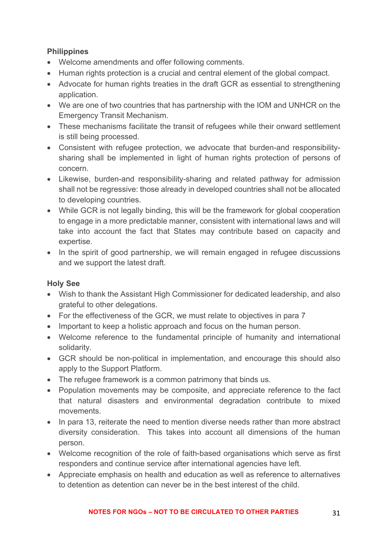### **Philippines**

- Welcome amendments and offer following comments.
- Human rights protection is a crucial and central element of the global compact.
- Advocate for human rights treaties in the draft GCR as essential to strengthening application.
- We are one of two countries that has partnership with the IOM and UNHCR on the Emergency Transit Mechanism.
- These mechanisms facilitate the transit of refugees while their onward settlement is still being processed.
- Consistent with refugee protection, we advocate that burden-and responsibilitysharing shall be implemented in light of human rights protection of persons of concern.
- Likewise, burden-and responsibility-sharing and related pathway for admission shall not be regressive: those already in developed countries shall not be allocated to developing countries.
- While GCR is not legally binding, this will be the framework for global cooperation to engage in a more predictable manner, consistent with international laws and will take into account the fact that States may contribute based on capacity and expertise.
- In the spirit of good partnership, we will remain engaged in refugee discussions and we support the latest draft.

### **Holy See**

- Wish to thank the Assistant High Commissioner for dedicated leadership, and also grateful to other delegations.
- For the effectiveness of the GCR, we must relate to objectives in para 7
- Important to keep a holistic approach and focus on the human person.
- Welcome reference to the fundamental principle of humanity and international solidarity.
- GCR should be non-political in implementation, and encourage this should also apply to the Support Platform.
- The refugee framework is a common patrimony that binds us.
- Population movements may be composite, and appreciate reference to the fact that natural disasters and environmental degradation contribute to mixed movements.
- In para 13, reiterate the need to mention diverse needs rather than more abstract diversity consideration. This takes into account all dimensions of the human person.
- Welcome recognition of the role of faith-based organisations which serve as first responders and continue service after international agencies have left.
- Appreciate emphasis on health and education as well as reference to alternatives to detention as detention can never be in the best interest of the child.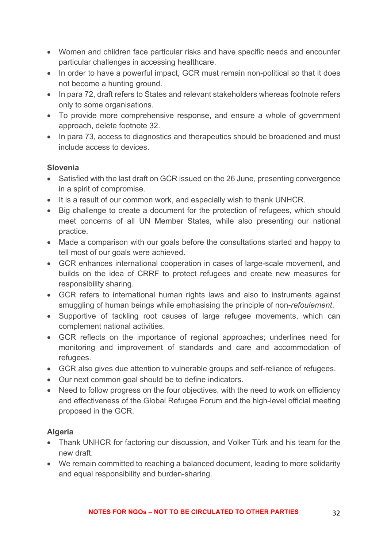- Women and children face particular risks and have specific needs and encounter particular challenges in accessing healthcare.
- In order to have a powerful impact, GCR must remain non-political so that it does not become a hunting ground.
- In para 72, draft refers to States and relevant stakeholders whereas footnote refers only to some organisations.
- To provide more comprehensive response, and ensure a whole of government approach, delete footnote 32.
- In para 73, access to diagnostics and therapeutics should be broadened and must include access to devices.

### **Slovenia**

- Satisfied with the last draft on GCR issued on the 26 June, presenting convergence in a spirit of compromise.
- It is a result of our common work, and especially wish to thank UNHCR.
- Big challenge to create a document for the protection of refugees, which should meet concerns of all UN Member States, while also presenting our national practice.
- Made a comparison with our goals before the consultations started and happy to tell most of our goals were achieved.
- GCR enhances international cooperation in cases of large-scale movement, and builds on the idea of CRRF to protect refugees and create new measures for responsibility sharing.
- GCR refers to international human rights laws and also to instruments against smuggling of human beings while emphasising the principle of non-*refoulement*.
- Supportive of tackling root causes of large refugee movements, which can complement national activities.
- GCR reflects on the importance of regional approaches; underlines need for monitoring and improvement of standards and care and accommodation of refugees.
- GCR also gives due attention to vulnerable groups and self-reliance of refugees.
- Our next common goal should be to define indicators.
- Need to follow progress on the four objectives, with the need to work on efficiency and effectiveness of the Global Refugee Forum and the high-level official meeting proposed in the GCR.

### **Algeria**

- Thank UNHCR for factoring our discussion, and Volker Türk and his team for the new draft.
- We remain committed to reaching a balanced document, leading to more solidarity and equal responsibility and burden-sharing.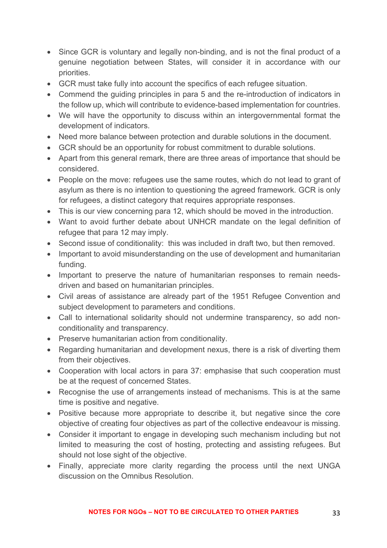- Since GCR is voluntary and legally non-binding, and is not the final product of a genuine negotiation between States, will consider it in accordance with our priorities.
- GCR must take fully into account the specifics of each refugee situation.
- Commend the guiding principles in para 5 and the re-introduction of indicators in the follow up, which will contribute to evidence-based implementation for countries.
- We will have the opportunity to discuss within an intergovernmental format the development of indicators.
- Need more balance between protection and durable solutions in the document.
- GCR should be an opportunity for robust commitment to durable solutions.
- Apart from this general remark, there are three areas of importance that should be considered.
- People on the move: refugees use the same routes, which do not lead to grant of asylum as there is no intention to questioning the agreed framework. GCR is only for refugees, a distinct category that requires appropriate responses.
- This is our view concerning para 12, which should be moved in the introduction.
- Want to avoid further debate about UNHCR mandate on the legal definition of refugee that para 12 may imply.
- Second issue of conditionality: this was included in draft two, but then removed.
- Important to avoid misunderstanding on the use of development and humanitarian funding.
- Important to preserve the nature of humanitarian responses to remain needsdriven and based on humanitarian principles.
- Civil areas of assistance are already part of the 1951 Refugee Convention and subject development to parameters and conditions.
- Call to international solidarity should not undermine transparency, so add nonconditionality and transparency.
- Preserve humanitarian action from conditionality.
- Regarding humanitarian and development nexus, there is a risk of diverting them from their objectives.
- Cooperation with local actors in para 37: emphasise that such cooperation must be at the request of concerned States.
- Recognise the use of arrangements instead of mechanisms. This is at the same time is positive and negative.
- Positive because more appropriate to describe it, but negative since the core objective of creating four objectives as part of the collective endeavour is missing.
- Consider it important to engage in developing such mechanism including but not limited to measuring the cost of hosting, protecting and assisting refugees. But should not lose sight of the objective.
- Finally, appreciate more clarity regarding the process until the next UNGA discussion on the Omnibus Resolution.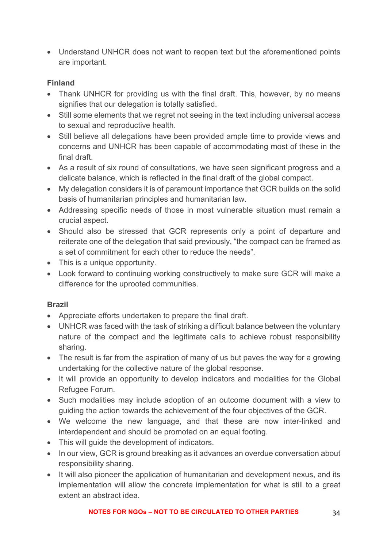• Understand UNHCR does not want to reopen text but the aforementioned points are important.

### **Finland**

- Thank UNHCR for providing us with the final draft. This, however, by no means signifies that our delegation is totally satisfied.
- Still some elements that we regret not seeing in the text including universal access to sexual and reproductive health.
- Still believe all delegations have been provided ample time to provide views and concerns and UNHCR has been capable of accommodating most of these in the final draft.
- As a result of six round of consultations, we have seen significant progress and a delicate balance, which is reflected in the final draft of the global compact.
- My delegation considers it is of paramount importance that GCR builds on the solid basis of humanitarian principles and humanitarian law.
- Addressing specific needs of those in most vulnerable situation must remain a crucial aspect.
- Should also be stressed that GCR represents only a point of departure and reiterate one of the delegation that said previously, "the compact can be framed as a set of commitment for each other to reduce the needs".
- This is a unique opportunity.
- Look forward to continuing working constructively to make sure GCR will make a difference for the uprooted communities.

# **Brazil**

- Appreciate efforts undertaken to prepare the final draft.
- UNHCR was faced with the task of striking a difficult balance between the voluntary nature of the compact and the legitimate calls to achieve robust responsibility sharing.
- The result is far from the aspiration of many of us but paves the way for a growing undertaking for the collective nature of the global response.
- It will provide an opportunity to develop indicators and modalities for the Global Refugee Forum.
- Such modalities may include adoption of an outcome document with a view to guiding the action towards the achievement of the four objectives of the GCR.
- We welcome the new language, and that these are now inter-linked and interdependent and should be promoted on an equal footing.
- This will guide the development of indicators.
- In our view, GCR is ground breaking as it advances an overdue conversation about responsibility sharing.
- It will also pioneer the application of humanitarian and development nexus, and its implementation will allow the concrete implementation for what is still to a great extent an abstract idea.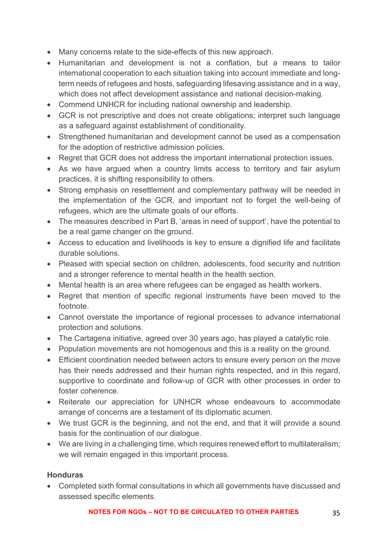- Many concerns relate to the side-effects of this new approach.
- Humanitarian and development is not a conflation, but a means to tailor international cooperation to each situation taking into account immediate and longterm needs of refugees and hosts, safeguarding lifesaving assistance and in a way, which does not affect development assistance and national decision-making.
- Commend UNHCR for including national ownership and leadership.
- GCR is not prescriptive and does not create obligations; interpret such language as a safeguard against establishment of conditionality.
- Strengthened humanitarian and development cannot be used as a compensation for the adoption of restrictive admission policies.
- Regret that GCR does not address the important international protection issues.
- As we have argued when a country limits access to territory and fair asylum practices, it is shifting responsibility to others.
- Strong emphasis on resettlement and complementary pathway will be needed in the implementation of the GCR, and important not to forget the well-being of refugees, which are the ultimate goals of our efforts.
- The measures described in Part B, 'areas in need of support', have the potential to be a real game changer on the ground.
- Access to education and livelihoods is key to ensure a dignified life and facilitate durable solutions.
- Pleased with special section on children, adolescents, food security and nutrition and a stronger reference to mental health in the health section.
- Mental health is an area where refugees can be engaged as health workers.
- Regret that mention of specific regional instruments have been moved to the footnote.
- Cannot overstate the importance of regional processes to advance international protection and solutions.
- The Cartagena initiative, agreed over 30 years ago, has played a catalytic role.
- Population movements are not homogenous and this is a reality on the ground.
- Efficient coordination needed between actors to ensure every person on the move has their needs addressed and their human rights respected, and in this regard, supportive to coordinate and follow-up of GCR with other processes in order to foster coherence.
- Reiterate our appreciation for UNHCR whose endeavours to accommodate arrange of concerns are a testament of its diplomatic acumen.
- We trust GCR is the beginning, and not the end, and that it will provide a sound basis for the continuation of our dialogue.
- We are living in a challenging time, which requires renewed effort to multilateralism; we will remain engaged in this important process.

### **Honduras**

• Completed sixth formal consultations in which all governments have discussed and assessed specific elements.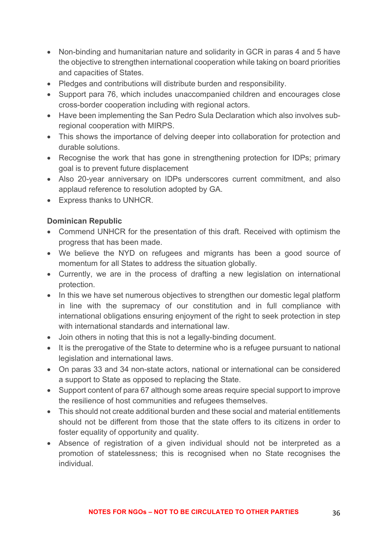- Non-binding and humanitarian nature and solidarity in GCR in paras 4 and 5 have the objective to strengthen international cooperation while taking on board priorities and capacities of States.
- Pledges and contributions will distribute burden and responsibility.
- Support para 76, which includes unaccompanied children and encourages close cross-border cooperation including with regional actors.
- Have been implementing the San Pedro Sula Declaration which also involves subregional cooperation with MIRPS.
- This shows the importance of delving deeper into collaboration for protection and durable solutions.
- Recognise the work that has gone in strengthening protection for IDPs; primary goal is to prevent future displacement
- Also 20-year anniversary on IDPs underscores current commitment, and also applaud reference to resolution adopted by GA.
- Express thanks to UNHCR.

### **Dominican Republic**

- Commend UNHCR for the presentation of this draft. Received with optimism the progress that has been made.
- We believe the NYD on refugees and migrants has been a good source of momentum for all States to address the situation globally.
- Currently, we are in the process of drafting a new legislation on international protection.
- In this we have set numerous objectives to strengthen our domestic legal platform in line with the supremacy of our constitution and in full compliance with international obligations ensuring enjoyment of the right to seek protection in step with international standards and international law.
- Join others in noting that this is not a legally-binding document.
- It is the prerogative of the State to determine who is a refugee pursuant to national legislation and international laws.
- On paras 33 and 34 non-state actors, national or international can be considered a support to State as opposed to replacing the State.
- Support content of para 67 although some areas require special support to improve the resilience of host communities and refugees themselves.
- This should not create additional burden and these social and material entitlements should not be different from those that the state offers to its citizens in order to foster equality of opportunity and quality.
- Absence of registration of a given individual should not be interpreted as a promotion of statelessness; this is recognised when no State recognises the individual.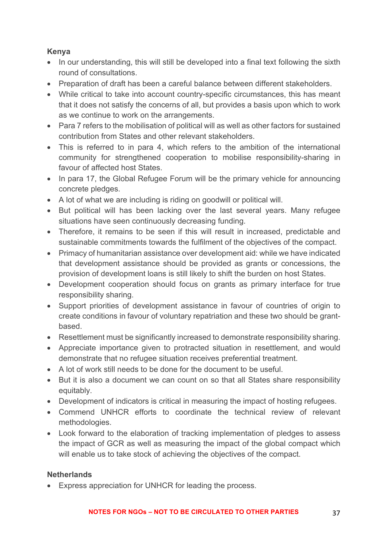### **Kenya**

- In our understanding, this will still be developed into a final text following the sixth round of consultations.
- Preparation of draft has been a careful balance between different stakeholders.
- While critical to take into account country-specific circumstances, this has meant that it does not satisfy the concerns of all, but provides a basis upon which to work as we continue to work on the arrangements.
- Para 7 refers to the mobilisation of political will as well as other factors for sustained contribution from States and other relevant stakeholders.
- This is referred to in para 4, which refers to the ambition of the international community for strengthened cooperation to mobilise responsibility-sharing in favour of affected host States.
- In para 17, the Global Refugee Forum will be the primary vehicle for announcing concrete pledges.
- A lot of what we are including is riding on goodwill or political will.
- But political will has been lacking over the last several years. Many refugee situations have seen continuously decreasing funding.
- Therefore, it remains to be seen if this will result in increased, predictable and sustainable commitments towards the fulfilment of the objectives of the compact.
- Primacy of humanitarian assistance over development aid: while we have indicated that development assistance should be provided as grants or concessions, the provision of development loans is still likely to shift the burden on host States.
- Development cooperation should focus on grants as primary interface for true responsibility sharing.
- Support priorities of development assistance in favour of countries of origin to create conditions in favour of voluntary repatriation and these two should be grantbased.
- Resettlement must be significantly increased to demonstrate responsibility sharing.
- Appreciate importance given to protracted situation in resettlement, and would demonstrate that no refugee situation receives preferential treatment.
- A lot of work still needs to be done for the document to be useful.
- But it is also a document we can count on so that all States share responsibility equitably.
- Development of indicators is critical in measuring the impact of hosting refugees.
- Commend UNHCR efforts to coordinate the technical review of relevant methodologies.
- Look forward to the elaboration of tracking implementation of pledges to assess the impact of GCR as well as measuring the impact of the global compact which will enable us to take stock of achieving the objectives of the compact.

### **Netherlands**

• Express appreciation for UNHCR for leading the process.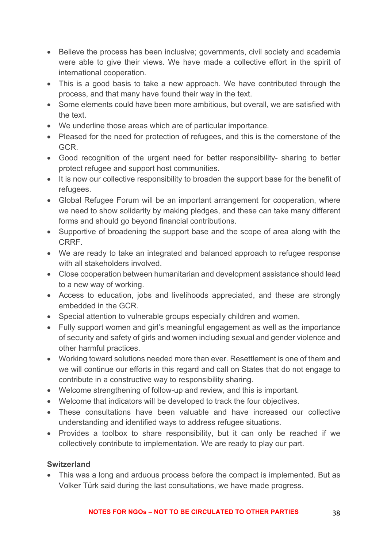- Believe the process has been inclusive; governments, civil society and academia were able to give their views. We have made a collective effort in the spirit of international cooperation.
- This is a good basis to take a new approach. We have contributed through the process, and that many have found their way in the text.
- Some elements could have been more ambitious, but overall, we are satisfied with the text.
- We underline those areas which are of particular importance.
- Pleased for the need for protection of refugees, and this is the cornerstone of the GCR.
- Good recognition of the urgent need for better responsibility- sharing to better protect refugee and support host communities.
- It is now our collective responsibility to broaden the support base for the benefit of refugees.
- Global Refugee Forum will be an important arrangement for cooperation, where we need to show solidarity by making pledges, and these can take many different forms and should go beyond financial contributions.
- Supportive of broadening the support base and the scope of area along with the CRRF.
- We are ready to take an integrated and balanced approach to refugee response with all stakeholders involved.
- Close cooperation between humanitarian and development assistance should lead to a new way of working.
- Access to education, jobs and livelihoods appreciated, and these are strongly embedded in the GCR.
- Special attention to vulnerable groups especially children and women.
- Fully support women and girl's meaningful engagement as well as the importance of security and safety of girls and women including sexual and gender violence and other harmful practices.
- Working toward solutions needed more than ever. Resettlement is one of them and we will continue our efforts in this regard and call on States that do not engage to contribute in a constructive way to responsibility sharing.
- Welcome strengthening of follow-up and review, and this is important.
- Welcome that indicators will be developed to track the four objectives.
- These consultations have been valuable and have increased our collective understanding and identified ways to address refugee situations.
- Provides a toolbox to share responsibility, but it can only be reached if we collectively contribute to implementation. We are ready to play our part.

### **Switzerland**

• This was a long and arduous process before the compact is implemented. But as Volker Türk said during the last consultations, we have made progress.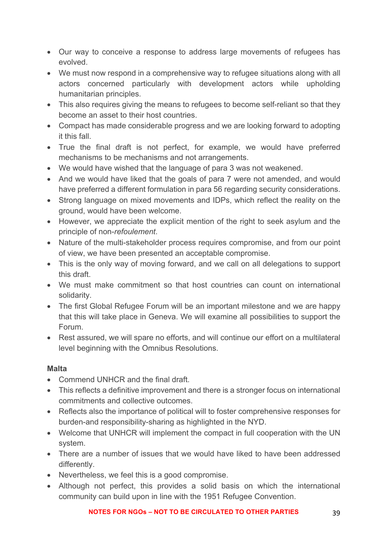- Our way to conceive a response to address large movements of refugees has evolved.
- We must now respond in a comprehensive way to refugee situations along with all actors concerned particularly with development actors while upholding humanitarian principles.
- This also requires giving the means to refugees to become self-reliant so that they become an asset to their host countries.
- Compact has made considerable progress and we are looking forward to adopting it this fall.
- True the final draft is not perfect, for example, we would have preferred mechanisms to be mechanisms and not arrangements.
- We would have wished that the language of para 3 was not weakened.
- And we would have liked that the goals of para 7 were not amended, and would have preferred a different formulation in para 56 regarding security considerations.
- Strong language on mixed movements and IDPs, which reflect the reality on the ground, would have been welcome.
- However, we appreciate the explicit mention of the right to seek asylum and the principle of non-*refoulement*.
- Nature of the multi-stakeholder process requires compromise, and from our point of view, we have been presented an acceptable compromise.
- This is the only way of moving forward, and we call on all delegations to support this draft.
- We must make commitment so that host countries can count on international solidarity.
- The first Global Refugee Forum will be an important milestone and we are happy that this will take place in Geneva. We will examine all possibilities to support the Forum.
- Rest assured, we will spare no efforts, and will continue our effort on a multilateral level beginning with the Omnibus Resolutions.

# **Malta**

- Commend UNHCR and the final draft.
- This reflects a definitive improvement and there is a stronger focus on international commitments and collective outcomes.
- Reflects also the importance of political will to foster comprehensive responses for burden-and responsibility-sharing as highlighted in the NYD.
- Welcome that UNHCR will implement the compact in full cooperation with the UN system.
- There are a number of issues that we would have liked to have been addressed differently.
- Nevertheless, we feel this is a good compromise.
- Although not perfect, this provides a solid basis on which the international community can build upon in line with the 1951 Refugee Convention.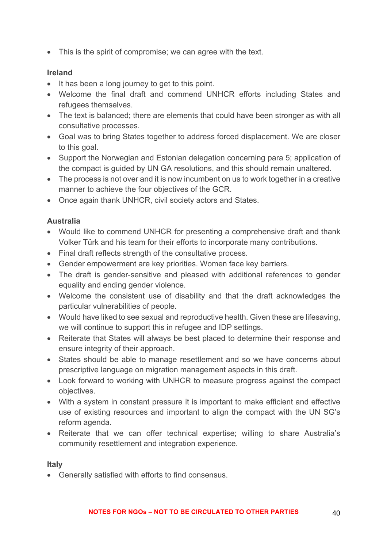• This is the spirit of compromise; we can agree with the text.

#### **Ireland**

- It has been a long journey to get to this point.
- Welcome the final draft and commend UNHCR efforts including States and refugees themselves.
- The text is balanced; there are elements that could have been stronger as with all consultative processes.
- Goal was to bring States together to address forced displacement. We are closer to this goal.
- Support the Norwegian and Estonian delegation concerning para 5; application of the compact is guided by UN GA resolutions, and this should remain unaltered.
- The process is not over and it is now incumbent on us to work together in a creative manner to achieve the four objectives of the GCR.
- Once again thank UNHCR, civil society actors and States.

### **Australia**

- Would like to commend UNHCR for presenting a comprehensive draft and thank Volker Türk and his team for their efforts to incorporate many contributions.
- Final draft reflects strength of the consultative process.
- Gender empowerment are key priorities. Women face key barriers.
- The draft is gender-sensitive and pleased with additional references to gender equality and ending gender violence.
- Welcome the consistent use of disability and that the draft acknowledges the particular vulnerabilities of people.
- Would have liked to see sexual and reproductive health. Given these are lifesaving, we will continue to support this in refugee and IDP settings.
- Reiterate that States will always be best placed to determine their response and ensure integrity of their approach.
- States should be able to manage resettlement and so we have concerns about prescriptive language on migration management aspects in this draft.
- Look forward to working with UNHCR to measure progress against the compact objectives.
- With a system in constant pressure it is important to make efficient and effective use of existing resources and important to align the compact with the UN SG's reform agenda.
- Reiterate that we can offer technical expertise; willing to share Australia's community resettlement and integration experience.

#### **Italy**

• Generally satisfied with efforts to find consensus.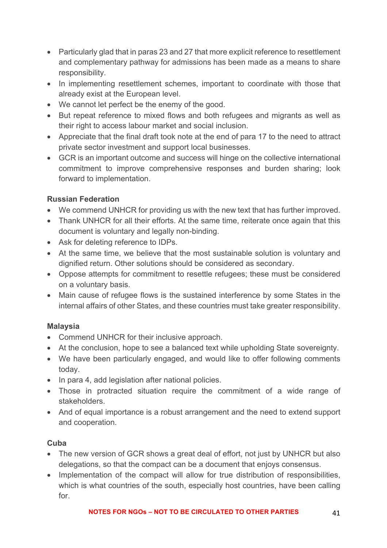- Particularly glad that in paras 23 and 27 that more explicit reference to resettlement and complementary pathway for admissions has been made as a means to share responsibility.
- In implementing resettlement schemes, important to coordinate with those that already exist at the European level.
- We cannot let perfect be the enemy of the good.
- But repeat reference to mixed flows and both refugees and migrants as well as their right to access labour market and social inclusion.
- Appreciate that the final draft took note at the end of para 17 to the need to attract private sector investment and support local businesses.
- GCR is an important outcome and success will hinge on the collective international commitment to improve comprehensive responses and burden sharing; look forward to implementation.

### **Russian Federation**

- We commend UNHCR for providing us with the new text that has further improved.
- Thank UNHCR for all their efforts. At the same time, reiterate once again that this document is voluntary and legally non-binding.
- Ask for deleting reference to IDPs.
- At the same time, we believe that the most sustainable solution is voluntary and dignified return. Other solutions should be considered as secondary.
- Oppose attempts for commitment to resettle refugees; these must be considered on a voluntary basis.
- Main cause of refugee flows is the sustained interference by some States in the internal affairs of other States, and these countries must take greater responsibility.

# **Malaysia**

- Commend UNHCR for their inclusive approach.
- At the conclusion, hope to see a balanced text while upholding State sovereignty.
- We have been particularly engaged, and would like to offer following comments today.
- In para 4, add legislation after national policies.
- Those in protracted situation require the commitment of a wide range of stakeholders.
- And of equal importance is a robust arrangement and the need to extend support and cooperation.

### **Cuba**

- The new version of GCR shows a great deal of effort, not just by UNHCR but also delegations, so that the compact can be a document that enjoys consensus.
- Implementation of the compact will allow for true distribution of responsibilities, which is what countries of the south, especially host countries, have been calling for.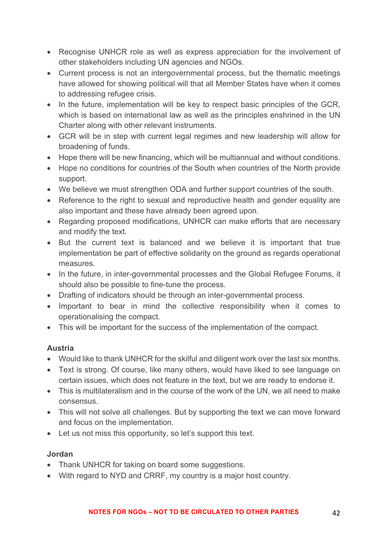- Recognise UNHCR role as well as express appreciation for the involvement of other stakeholders including UN agencies and NGOs.
- Current process is not an intergovernmental process, but the thematic meetings have allowed for showing political will that all Member States have when it comes to addressing refugee crisis.
- In the future, implementation will be key to respect basic principles of the GCR, which is based on international law as well as the principles enshrined in the UN Charter along with other relevant instruments.
- GCR will be in step with current legal regimes and new leadership will allow for broadening of funds.
- Hope there will be new financing, which will be multiannual and without conditions.
- Hope no conditions for countries of the South when countries of the North provide support.
- We believe we must strengthen ODA and further support countries of the south.
- Reference to the right to sexual and reproductive health and gender equality are also important and these have already been agreed upon.
- Regarding proposed modifications, UNHCR can make efforts that are necessary and modify the text.
- But the current text is balanced and we believe it is important that true implementation be part of effective solidarity on the ground as regards operational measures.
- In the future, in inter-governmental processes and the Global Refugee Forums, it should also be possible to fine-tune the process.
- Drafting of indicators should be through an inter-governmental process.
- Important to bear in mind the collective responsibility when it comes to operationalising the compact.
- This will be important for the success of the implementation of the compact.

# **Austria**

- Would like to thank UNHCR for the skilful and diligent work over the last six months.
- Text is strong. Of course, like many others, would have liked to see language on certain issues, which does not feature in the text, but we are ready to endorse it.
- This is multilateralism and in the course of the work of the UN, we all need to make consensus.
- This will not solve all challenges. But by supporting the text we can move forward and focus on the implementation.
- Let us not miss this opportunity, so let's support this text.

### **Jordan**

- Thank UNHCR for taking on board some suggestions.
- With regard to NYD and CRRF, my country is a major host country.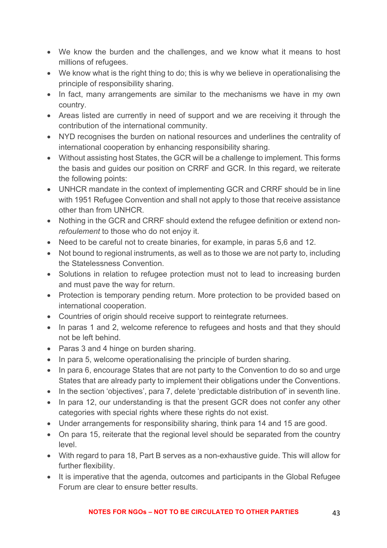- We know the burden and the challenges, and we know what it means to host millions of refugees.
- We know what is the right thing to do; this is why we believe in operationalising the principle of responsibility sharing.
- In fact, many arrangements are similar to the mechanisms we have in my own country.
- Areas listed are currently in need of support and we are receiving it through the contribution of the international community.
- NYD recognises the burden on national resources and underlines the centrality of international cooperation by enhancing responsibility sharing.
- Without assisting host States, the GCR will be a challenge to implement. This forms the basis and guides our position on CRRF and GCR. In this regard, we reiterate the following points:
- UNHCR mandate in the context of implementing GCR and CRRF should be in line with 1951 Refugee Convention and shall not apply to those that receive assistance other than from UNHCR.
- Nothing in the GCR and CRRF should extend the refugee definition or extend non*refoulement* to those who do not enjoy it.
- Need to be careful not to create binaries, for example, in paras 5,6 and 12.
- Not bound to regional instruments, as well as to those we are not party to, including the Statelessness Convention.
- Solutions in relation to refugee protection must not to lead to increasing burden and must pave the way for return.
- Protection is temporary pending return. More protection to be provided based on international cooperation.
- Countries of origin should receive support to reintegrate returnees.
- In paras 1 and 2, welcome reference to refugees and hosts and that they should not be left behind.
- Paras 3 and 4 hinge on burden sharing.
- In para 5, welcome operationalising the principle of burden sharing.
- In para 6, encourage States that are not party to the Convention to do so and urge States that are already party to implement their obligations under the Conventions.
- In the section 'objectives', para 7, delete 'predictable distribution of' in seventh line.
- In para 12, our understanding is that the present GCR does not confer any other categories with special rights where these rights do not exist.
- Under arrangements for responsibility sharing, think para 14 and 15 are good.
- On para 15, reiterate that the regional level should be separated from the country level.
- With regard to para 18, Part B serves as a non-exhaustive guide. This will allow for further flexibility.
- It is imperative that the agenda, outcomes and participants in the Global Refugee Forum are clear to ensure better results.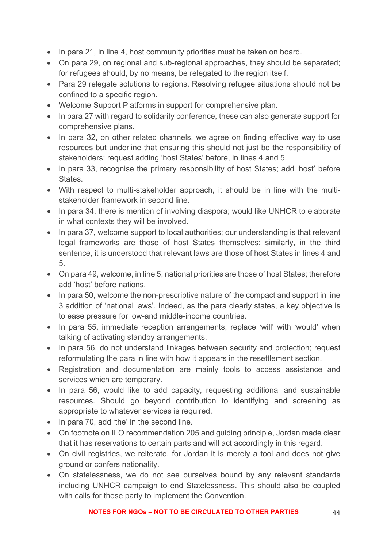- In para 21, in line 4, host community priorities must be taken on board.
- On para 29, on regional and sub-regional approaches, they should be separated; for refugees should, by no means, be relegated to the region itself.
- Para 29 relegate solutions to regions. Resolving refugee situations should not be confined to a specific region.
- Welcome Support Platforms in support for comprehensive plan.
- In para 27 with regard to solidarity conference, these can also generate support for comprehensive plans.
- In para 32, on other related channels, we agree on finding effective way to use resources but underline that ensuring this should not just be the responsibility of stakeholders; request adding 'host States' before, in lines 4 and 5.
- In para 33, recognise the primary responsibility of host States; add 'host' before States.
- With respect to multi-stakeholder approach, it should be in line with the multistakeholder framework in second line.
- In para 34, there is mention of involving diaspora; would like UNHCR to elaborate in what contexts they will be involved.
- In para 37, welcome support to local authorities; our understanding is that relevant legal frameworks are those of host States themselves; similarly, in the third sentence, it is understood that relevant laws are those of host States in lines 4 and 5.
- On para 49, welcome, in line 5, national priorities are those of host States; therefore add 'host' before nations.
- In para 50, welcome the non-prescriptive nature of the compact and support in line 3 addition of 'national laws'. Indeed, as the para clearly states, a key objective is to ease pressure for low-and middle-income countries.
- In para 55, immediate reception arrangements, replace 'will' with 'would' when talking of activating standby arrangements.
- In para 56, do not understand linkages between security and protection; request reformulating the para in line with how it appears in the resettlement section.
- Registration and documentation are mainly tools to access assistance and services which are temporary.
- In para 56, would like to add capacity, requesting additional and sustainable resources. Should go beyond contribution to identifying and screening as appropriate to whatever services is required.
- In para 70, add 'the' in the second line.
- On footnote on ILO recommendation 205 and guiding principle, Jordan made clear that it has reservations to certain parts and will act accordingly in this regard.
- On civil registries, we reiterate, for Jordan it is merely a tool and does not give ground or confers nationality.
- On statelessness, we do not see ourselves bound by any relevant standards including UNHCR campaign to end Statelessness. This should also be coupled with calls for those party to implement the Convention.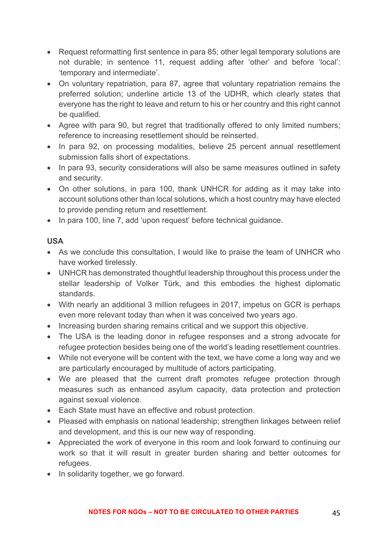- Request reformatting first sentence in para 85; other legal temporary solutions are not durable; in sentence 11, request adding after 'other' and before 'local': 'temporary and intermediate'.
- On voluntary repatriation, para 87, agree that voluntary repatriation remains the preferred solution; underline article 13 of the UDHR, which clearly states that everyone has the right to leave and return to his or her country and this right cannot be qualified.
- Agree with para 90, but regret that traditionally offered to only limited numbers; reference to increasing resettlement should be reinserted.
- In para 92, on processing modalities, believe 25 percent annual resettlement submission falls short of expectations.
- In para 93, security considerations will also be same measures outlined in safety and security.
- On other solutions, in para 100, thank UNHCR for adding as it may take into account solutions other than local solutions, which a host country may have elected to provide pending return and resettlement.
- In para 100, line 7, add 'upon request' before technical quidance.

### **USA**

- As we conclude this consultation, I would like to praise the team of UNHCR who have worked tirelessly.
- UNHCR has demonstrated thoughtful leadership throughout this process under the stellar leadership of Volker Türk, and this embodies the highest diplomatic standards.
- With nearly an additional 3 million refugees in 2017, impetus on GCR is perhaps even more relevant today than when it was conceived two years ago.
- Increasing burden sharing remains critical and we support this objective.
- The USA is the leading donor in refugee responses and a strong advocate for refugee protection besides being one of the world's leading resettlement countries.
- While not everyone will be content with the text, we have come a long way and we are particularly encouraged by multitude of actors participating.
- We are pleased that the current draft promotes refugee protection through measures such as enhanced asylum capacity, data protection and protection against sexual violence.
- Each State must have an effective and robust protection.
- Pleased with emphasis on national leadership; strengthen linkages between relief and development, and this is our new way of responding.
- Appreciated the work of everyone in this room and look forward to continuing our work so that it will result in greater burden sharing and better outcomes for refugees.
- In solidarity together, we go forward.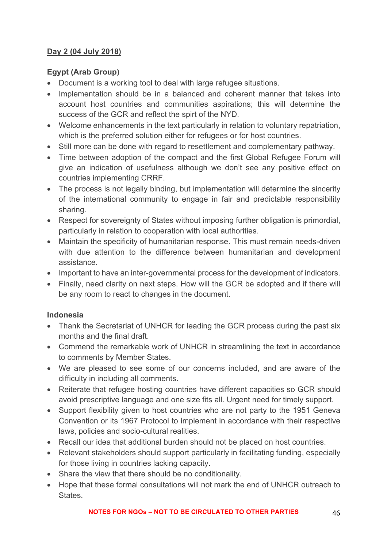### **Day 2 (04 July 2018)**

### **Egypt (Arab Group)**

- Document is a working tool to deal with large refugee situations.
- Implementation should be in a balanced and coherent manner that takes into account host countries and communities aspirations; this will determine the success of the GCR and reflect the spirt of the NYD.
- Welcome enhancements in the text particularly in relation to voluntary repatriation, which is the preferred solution either for refugees or for host countries.
- Still more can be done with regard to resettlement and complementary pathway.
- Time between adoption of the compact and the first Global Refugee Forum will give an indication of usefulness although we don't see any positive effect on countries implementing CRRF.
- The process is not legally binding, but implementation will determine the sincerity of the international community to engage in fair and predictable responsibility sharing.
- Respect for sovereignty of States without imposing further obligation is primordial, particularly in relation to cooperation with local authorities.
- Maintain the specificity of humanitarian response. This must remain needs-driven with due attention to the difference between humanitarian and development assistance.
- Important to have an inter-governmental process for the development of indicators.
- Finally, need clarity on next steps. How will the GCR be adopted and if there will be any room to react to changes in the document.

### **Indonesia**

- Thank the Secretariat of UNHCR for leading the GCR process during the past six months and the final draft.
- Commend the remarkable work of UNHCR in streamlining the text in accordance to comments by Member States.
- We are pleased to see some of our concerns included, and are aware of the difficulty in including all comments.
- Reiterate that refugee hosting countries have different capacities so GCR should avoid prescriptive language and one size fits all. Urgent need for timely support.
- Support flexibility given to host countries who are not party to the 1951 Geneva Convention or its 1967 Protocol to implement in accordance with their respective laws, policies and socio-cultural realities.
- Recall our idea that additional burden should not be placed on host countries.
- Relevant stakeholders should support particularly in facilitating funding, especially for those living in countries lacking capacity.
- Share the view that there should be no conditionality.
- Hope that these formal consultations will not mark the end of UNHCR outreach to States.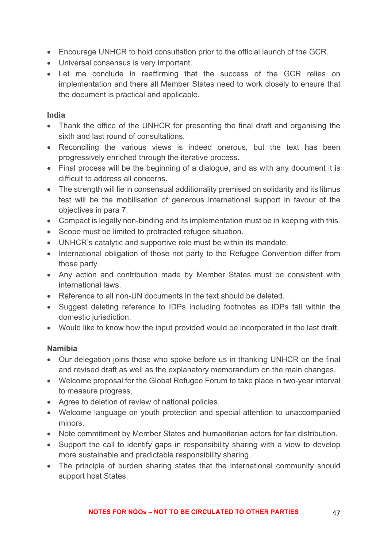- Encourage UNHCR to hold consultation prior to the official launch of the GCR.
- Universal consensus is very important.
- Let me conclude in reaffirming that the success of the GCR relies on implementation and there all Member States need to work closely to ensure that the document is practical and applicable.

#### **India**

- Thank the office of the UNHCR for presenting the final draft and organising the sixth and last round of consultations.
- Reconciling the various views is indeed onerous, but the text has been progressively enriched through the iterative process.
- Final process will be the beginning of a dialogue, and as with any document it is difficult to address all concerns.
- The strength will lie in consensual additionality premised on solidarity and its litmus test will be the mobilisation of generous international support in favour of the objectives in para 7.
- Compact is legally non-binding and its implementation must be in keeping with this.
- Scope must be limited to protracted refugee situation.
- UNHCR's catalytic and supportive role must be within its mandate.
- International obligation of those not party to the Refugee Convention differ from those party.
- Any action and contribution made by Member States must be consistent with international laws.
- Reference to all non-UN documents in the text should be deleted.
- Suggest deleting reference to IDPs including footnotes as IDPs fall within the domestic jurisdiction.
- Would like to know how the input provided would be incorporated in the last draft.

### **Namibia**

- Our delegation joins those who spoke before us in thanking UNHCR on the final and revised draft as well as the explanatory memorandum on the main changes.
- Welcome proposal for the Global Refugee Forum to take place in two-year interval to measure progress.
- Agree to deletion of review of national policies.
- Welcome language on youth protection and special attention to unaccompanied minors.
- Note commitment by Member States and humanitarian actors for fair distribution.
- Support the call to identify gaps in responsibility sharing with a view to develop more sustainable and predictable responsibility sharing.
- The principle of burden sharing states that the international community should support host States.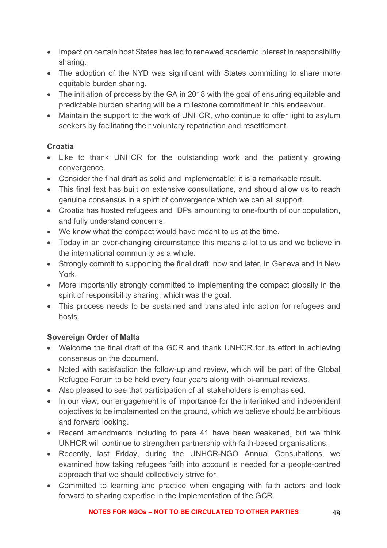- Impact on certain host States has led to renewed academic interest in responsibility sharing.
- The adoption of the NYD was significant with States committing to share more equitable burden sharing.
- The initiation of process by the GA in 2018 with the goal of ensuring equitable and predictable burden sharing will be a milestone commitment in this endeavour.
- Maintain the support to the work of UNHCR, who continue to offer light to asylum seekers by facilitating their voluntary repatriation and resettlement.

# **Croatia**

- Like to thank UNHCR for the outstanding work and the patiently growing convergence.
- Consider the final draft as solid and implementable; it is a remarkable result.
- This final text has built on extensive consultations, and should allow us to reach genuine consensus in a spirit of convergence which we can all support.
- Croatia has hosted refugees and IDPs amounting to one-fourth of our population, and fully understand concerns.
- We know what the compact would have meant to us at the time.
- Today in an ever-changing circumstance this means a lot to us and we believe in the international community as a whole.
- Strongly commit to supporting the final draft, now and later, in Geneva and in New York.
- More importantly strongly committed to implementing the compact globally in the spirit of responsibility sharing, which was the goal.
- This process needs to be sustained and translated into action for refugees and hosts.

### **Sovereign Order of Malta**

- Welcome the final draft of the GCR and thank UNHCR for its effort in achieving consensus on the document.
- Noted with satisfaction the follow-up and review, which will be part of the Global Refugee Forum to be held every four years along with bi-annual reviews.
- Also pleased to see that participation of all stakeholders is emphasised.
- In our view, our engagement is of importance for the interlinked and independent objectives to be implemented on the ground, which we believe should be ambitious and forward looking.
- Recent amendments including to para 41 have been weakened, but we think UNHCR will continue to strengthen partnership with faith-based organisations.
- Recently, last Friday, during the UNHCR-NGO Annual Consultations, we examined how taking refugees faith into account is needed for a people-centred approach that we should collectively strive for.
- Committed to learning and practice when engaging with faith actors and look forward to sharing expertise in the implementation of the GCR.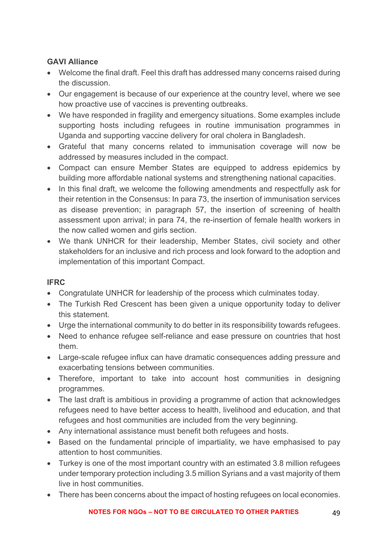### **GAVI Alliance**

- Welcome the final draft. Feel this draft has addressed many concerns raised during the discussion.
- Our engagement is because of our experience at the country level, where we see how proactive use of vaccines is preventing outbreaks.
- We have responded in fragility and emergency situations. Some examples include supporting hosts including refugees in routine immunisation programmes in Uganda and supporting vaccine delivery for oral cholera in Bangladesh.
- Grateful that many concerns related to immunisation coverage will now be addressed by measures included in the compact.
- Compact can ensure Member States are equipped to address epidemics by building more affordable national systems and strengthening national capacities.
- In this final draft, we welcome the following amendments and respectfully ask for their retention in the Consensus: In para 73, the insertion of immunisation services as disease prevention; in paragraph 57, the insertion of screening of health assessment upon arrival; in para 74, the re-insertion of female health workers in the now called women and girls section.
- We thank UNHCR for their leadership, Member States, civil society and other stakeholders for an inclusive and rich process and look forward to the adoption and implementation of this important Compact.

### **IFRC**

- Congratulate UNHCR for leadership of the process which culminates today.
- The Turkish Red Crescent has been given a unique opportunity today to deliver this statement.
- Urge the international community to do better in its responsibility towards refugees.
- Need to enhance refugee self-reliance and ease pressure on countries that host them.
- Large-scale refugee influx can have dramatic consequences adding pressure and exacerbating tensions between communities.
- Therefore, important to take into account host communities in designing programmes.
- The last draft is ambitious in providing a programme of action that acknowledges refugees need to have better access to health, livelihood and education, and that refugees and host communities are included from the very beginning.
- Any international assistance must benefit both refugees and hosts.
- Based on the fundamental principle of impartiality, we have emphasised to pay attention to host communities.
- Turkey is one of the most important country with an estimated 3.8 million refugees under temporary protection including 3.5 million Syrians and a vast majority of them live in host communities.
- There has been concerns about the impact of hosting refugees on local economies.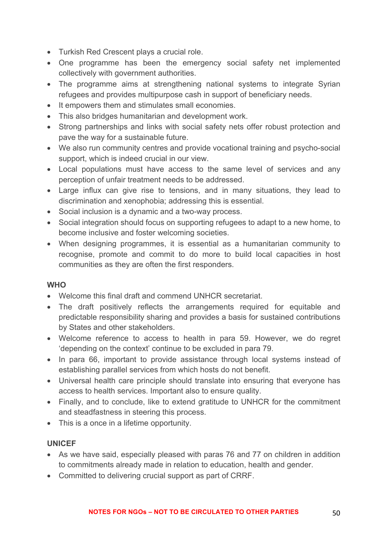- Turkish Red Crescent plays a crucial role.
- One programme has been the emergency social safety net implemented collectively with government authorities.
- The programme aims at strengthening national systems to integrate Syrian refugees and provides multipurpose cash in support of beneficiary needs.
- It empowers them and stimulates small economies.
- This also bridges humanitarian and development work.
- Strong partnerships and links with social safety nets offer robust protection and pave the way for a sustainable future.
- We also run community centres and provide vocational training and psycho-social support, which is indeed crucial in our view.
- Local populations must have access to the same level of services and any perception of unfair treatment needs to be addressed.
- Large influx can give rise to tensions, and in many situations, they lead to discrimination and xenophobia; addressing this is essential.
- Social inclusion is a dynamic and a two-way process.
- Social integration should focus on supporting refugees to adapt to a new home, to become inclusive and foster welcoming societies.
- When designing programmes, it is essential as a humanitarian community to recognise, promote and commit to do more to build local capacities in host communities as they are often the first responders.

#### **WHO**

- Welcome this final draft and commend UNHCR secretariat.
- The draft positively reflects the arrangements required for equitable and predictable responsibility sharing and provides a basis for sustained contributions by States and other stakeholders.
- Welcome reference to access to health in para 59. However, we do regret 'depending on the context' continue to be excluded in para 79.
- In para 66, important to provide assistance through local systems instead of establishing parallel services from which hosts do not benefit.
- Universal health care principle should translate into ensuring that everyone has access to health services. Important also to ensure quality.
- Finally, and to conclude, like to extend gratitude to UNHCR for the commitment and steadfastness in steering this process.
- This is a once in a lifetime opportunity.

#### **UNICEF**

- As we have said, especially pleased with paras 76 and 77 on children in addition to commitments already made in relation to education, health and gender.
- Committed to delivering crucial support as part of CRRF.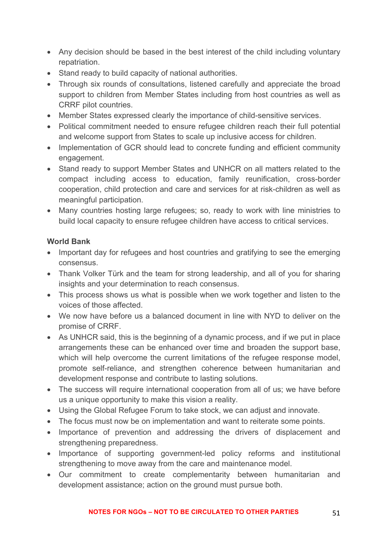- Any decision should be based in the best interest of the child including voluntary repatriation.
- Stand ready to build capacity of national authorities.
- Through six rounds of consultations, listened carefully and appreciate the broad support to children from Member States including from host countries as well as CRRF pilot countries.
- Member States expressed clearly the importance of child-sensitive services.
- Political commitment needed to ensure refugee children reach their full potential and welcome support from States to scale up inclusive access for children.
- Implementation of GCR should lead to concrete funding and efficient community engagement.
- Stand ready to support Member States and UNHCR on all matters related to the compact including access to education, family reunification, cross-border cooperation, child protection and care and services for at risk-children as well as meaningful participation.
- Many countries hosting large refugees; so, ready to work with line ministries to build local capacity to ensure refugee children have access to critical services.

### **World Bank**

- Important day for refugees and host countries and gratifying to see the emerging consensus.
- Thank Volker Türk and the team for strong leadership, and all of you for sharing insights and your determination to reach consensus.
- This process shows us what is possible when we work together and listen to the voices of those affected.
- We now have before us a balanced document in line with NYD to deliver on the promise of CRRF.
- As UNHCR said, this is the beginning of a dynamic process, and if we put in place arrangements these can be enhanced over time and broaden the support base, which will help overcome the current limitations of the refugee response model, promote self-reliance, and strengthen coherence between humanitarian and development response and contribute to lasting solutions.
- The success will require international cooperation from all of us; we have before us a unique opportunity to make this vision a reality.
- Using the Global Refugee Forum to take stock, we can adjust and innovate.
- The focus must now be on implementation and want to reiterate some points.
- Importance of prevention and addressing the drivers of displacement and strengthening preparedness.
- Importance of supporting government-led policy reforms and institutional strengthening to move away from the care and maintenance model.
- Our commitment to create complementarity between humanitarian and development assistance; action on the ground must pursue both.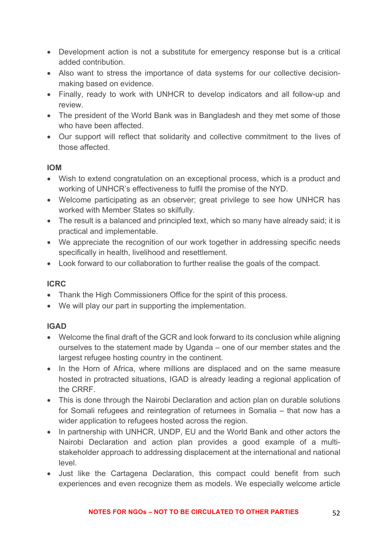- Development action is not a substitute for emergency response but is a critical added contribution.
- Also want to stress the importance of data systems for our collective decisionmaking based on evidence.
- Finally, ready to work with UNHCR to develop indicators and all follow-up and review.
- The president of the World Bank was in Bangladesh and they met some of those who have been affected.
- Our support will reflect that solidarity and collective commitment to the lives of those affected.

### **IOM**

- Wish to extend congratulation on an exceptional process, which is a product and working of UNHCR's effectiveness to fulfil the promise of the NYD.
- Welcome participating as an observer; great privilege to see how UNHCR has worked with Member States so skilfully.
- The result is a balanced and principled text, which so many have already said; it is practical and implementable.
- We appreciate the recognition of our work together in addressing specific needs specifically in health, livelihood and resettlement.
- Look forward to our collaboration to further realise the goals of the compact.

### **ICRC**

- Thank the High Commissioners Office for the spirit of this process.
- We will play our part in supporting the implementation.

# **IGAD**

- Welcome the final draft of the GCR and look forward to its conclusion while aligning ourselves to the statement made by Uganda – one of our member states and the largest refugee hosting country in the continent.
- In the Horn of Africa, where millions are displaced and on the same measure hosted in protracted situations, IGAD is already leading a regional application of the CRRF.
- This is done through the Nairobi Declaration and action plan on durable solutions for Somali refugees and reintegration of returnees in Somalia – that now has a wider application to refugees hosted across the region.
- In partnership with UNHCR, UNDP, EU and the World Bank and other actors the Nairobi Declaration and action plan provides a good example of a multistakeholder approach to addressing displacement at the international and national level.
- Just like the Cartagena Declaration, this compact could benefit from such experiences and even recognize them as models. We especially welcome article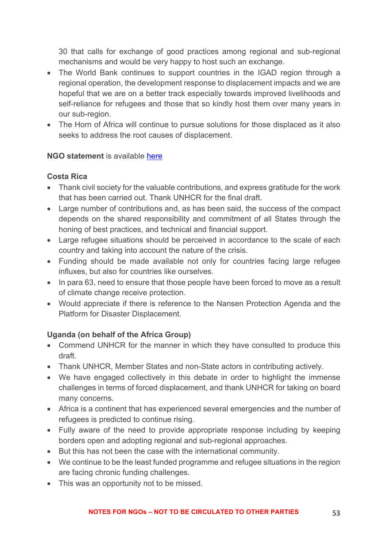30 that calls for exchange of good practices among regional and sub-regional mechanisms and would be very happy to host such an exchange.

- The World Bank continues to support countries in the IGAD region through a regional operation, the development response to displacement impacts and we are hopeful that we are on a better track especially towards improved livelihoods and self-reliance for refugees and those that so kindly host them over many years in our sub-region.
- The Horn of Africa will continue to pursue solutions for those displaced as it also seeks to address the root causes of displacement.

### **NGO statement** is available here

### **Costa Rica**

- Thank civil society for the valuable contributions, and express gratitude for the work that has been carried out. Thank UNHCR for the final draft.
- Large number of contributions and, as has been said, the success of the compact depends on the shared responsibility and commitment of all States through the honing of best practices, and technical and financial support.
- Large refugee situations should be perceived in accordance to the scale of each country and taking into account the nature of the crisis.
- Funding should be made available not only for countries facing large refugee influxes, but also for countries like ourselves.
- In para 63, need to ensure that those people have been forced to move as a result of climate change receive protection.
- Would appreciate if there is reference to the Nansen Protection Agenda and the Platform for Disaster Displacement.

# **Uganda (on behalf of the Africa Group)**

- Commend UNHCR for the manner in which they have consulted to produce this draft.
- Thank UNHCR, Member States and non-State actors in contributing actively.
- We have engaged collectively in this debate in order to highlight the immense challenges in terms of forced displacement, and thank UNHCR for taking on board many concerns.
- Africa is a continent that has experienced several emergencies and the number of refugees is predicted to continue rising.
- Fully aware of the need to provide appropriate response including by keeping borders open and adopting regional and sub-regional approaches.
- But this has not been the case with the international community.
- We continue to be the least funded programme and refugee situations in the region are facing chronic funding challenges.
- This was an opportunity not to be missed.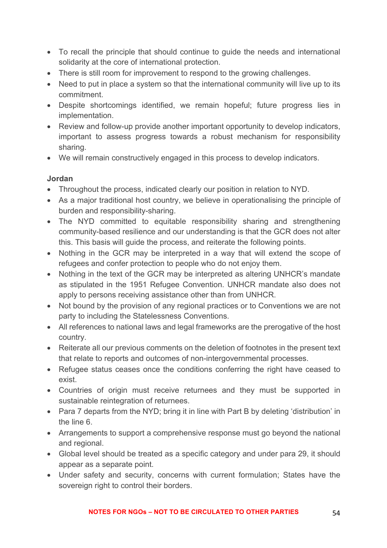- To recall the principle that should continue to guide the needs and international solidarity at the core of international protection.
- There is still room for improvement to respond to the growing challenges.
- Need to put in place a system so that the international community will live up to its commitment.
- Despite shortcomings identified, we remain hopeful; future progress lies in implementation.
- Review and follow-up provide another important opportunity to develop indicators, important to assess progress towards a robust mechanism for responsibility sharing.
- We will remain constructively engaged in this process to develop indicators.

### **Jordan**

- Throughout the process, indicated clearly our position in relation to NYD.
- As a major traditional host country, we believe in operationalising the principle of burden and responsibility-sharing.
- The NYD committed to equitable responsibility sharing and strengthening community-based resilience and our understanding is that the GCR does not alter this. This basis will guide the process, and reiterate the following points.
- Nothing in the GCR may be interpreted in a way that will extend the scope of refugees and confer protection to people who do not enjoy them.
- Nothing in the text of the GCR may be interpreted as altering UNHCR's mandate as stipulated in the 1951 Refugee Convention. UNHCR mandate also does not apply to persons receiving assistance other than from UNHCR.
- Not bound by the provision of any regional practices or to Conventions we are not party to including the Statelessness Conventions.
- All references to national laws and legal frameworks are the prerogative of the host country.
- Reiterate all our previous comments on the deletion of footnotes in the present text that relate to reports and outcomes of non-intergovernmental processes.
- Refugee status ceases once the conditions conferring the right have ceased to exist.
- Countries of origin must receive returnees and they must be supported in sustainable reintegration of returnees.
- Para 7 departs from the NYD; bring it in line with Part B by deleting 'distribution' in the line 6.
- Arrangements to support a comprehensive response must go beyond the national and regional.
- Global level should be treated as a specific category and under para 29, it should appear as a separate point.
- Under safety and security, concerns with current formulation; States have the sovereign right to control their borders.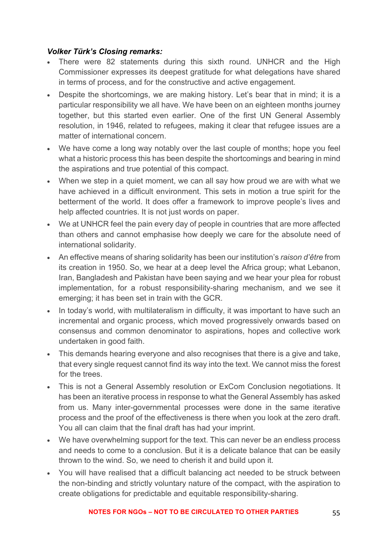### *Volker Türk's Closing remarks:*

- There were 82 statements during this sixth round. UNHCR and the High Commissioner expresses its deepest gratitude for what delegations have shared in terms of process, and for the constructive and active engagement.
- Despite the shortcomings, we are making history. Let's bear that in mind; it is a particular responsibility we all have. We have been on an eighteen months journey together, but this started even earlier. One of the first UN General Assembly resolution, in 1946, related to refugees, making it clear that refugee issues are a matter of international concern.
- We have come a long way notably over the last couple of months; hope you feel what a historic process this has been despite the shortcomings and bearing in mind the aspirations and true potential of this compact.
- When we step in a quiet moment, we can all say how proud we are with what we have achieved in a difficult environment. This sets in motion a true spirit for the betterment of the world. It does offer a framework to improve people's lives and help affected countries. It is not just words on paper.
- We at UNHCR feel the pain every day of people in countries that are more affected than others and cannot emphasise how deeply we care for the absolute need of international solidarity.
- An effective means of sharing solidarity has been our institution's *raison d'être* from its creation in 1950. So, we hear at a deep level the Africa group; what Lebanon, Iran, Bangladesh and Pakistan have been saying and we hear your plea for robust implementation, for a robust responsibility-sharing mechanism, and we see it emerging; it has been set in train with the GCR.
- In today's world, with multilateralism in difficulty, it was important to have such an incremental and organic process, which moved progressively onwards based on consensus and common denominator to aspirations, hopes and collective work undertaken in good faith.
- This demands hearing everyone and also recognises that there is a give and take, that every single request cannot find its way into the text. We cannot miss the forest for the trees.
- This is not a General Assembly resolution or ExCom Conclusion negotiations. It has been an iterative process in response to what the General Assembly has asked from us. Many inter-governmental processes were done in the same iterative process and the proof of the effectiveness is there when you look at the zero draft. You all can claim that the final draft has had your imprint.
- We have overwhelming support for the text. This can never be an endless process and needs to come to a conclusion. But it is a delicate balance that can be easily thrown to the wind. So, we need to cherish it and build upon it.
- You will have realised that a difficult balancing act needed to be struck between the non-binding and strictly voluntary nature of the compact, with the aspiration to create obligations for predictable and equitable responsibility-sharing.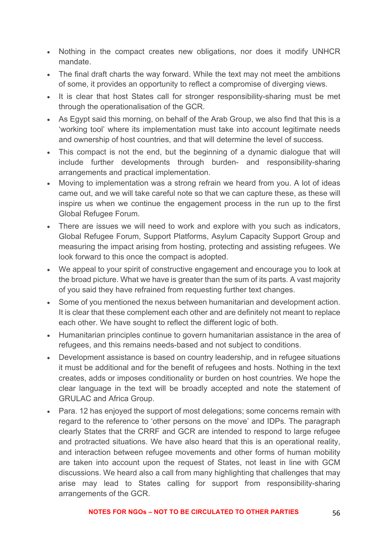- Nothing in the compact creates new obligations, nor does it modify UNHCR mandate.
- The final draft charts the way forward. While the text may not meet the ambitions of some, it provides an opportunity to reflect a compromise of diverging views.
- It is clear that host States call for stronger responsibility-sharing must be met through the operationalisation of the GCR.
- As Egypt said this morning, on behalf of the Arab Group, we also find that this is a 'working tool' where its implementation must take into account legitimate needs and ownership of host countries, and that will determine the level of success.
- This compact is not the end, but the beginning of a dynamic dialogue that will include further developments through burden- and responsibility-sharing arrangements and practical implementation.
- Moving to implementation was a strong refrain we heard from you. A lot of ideas came out, and we will take careful note so that we can capture these, as these will inspire us when we continue the engagement process in the run up to the first Global Refugee Forum.
- There are issues we will need to work and explore with you such as indicators, Global Refugee Forum, Support Platforms, Asylum Capacity Support Group and measuring the impact arising from hosting, protecting and assisting refugees. We look forward to this once the compact is adopted.
- We appeal to your spirit of constructive engagement and encourage you to look at the broad picture. What we have is greater than the sum of its parts. A vast majority of you said they have refrained from requesting further text changes.
- Some of you mentioned the nexus between humanitarian and development action. It is clear that these complement each other and are definitely not meant to replace each other. We have sought to reflect the different logic of both.
- Humanitarian principles continue to govern humanitarian assistance in the area of refugees, and this remains needs-based and not subject to conditions.
- Development assistance is based on country leadership, and in refugee situations it must be additional and for the benefit of refugees and hosts. Nothing in the text creates, adds or imposes conditionality or burden on host countries. We hope the clear language in the text will be broadly accepted and note the statement of GRULAC and Africa Group.
- Para. 12 has enjoyed the support of most delegations; some concerns remain with regard to the reference to 'other persons on the move' and IDPs. The paragraph clearly States that the CRRF and GCR are intended to respond to large refugee and protracted situations. We have also heard that this is an operational reality, and interaction between refugee movements and other forms of human mobility are taken into account upon the request of States, not least in line with GCM discussions. We heard also a call from many highlighting that challenges that may arise may lead to States calling for support from responsibility-sharing arrangements of the GCR.